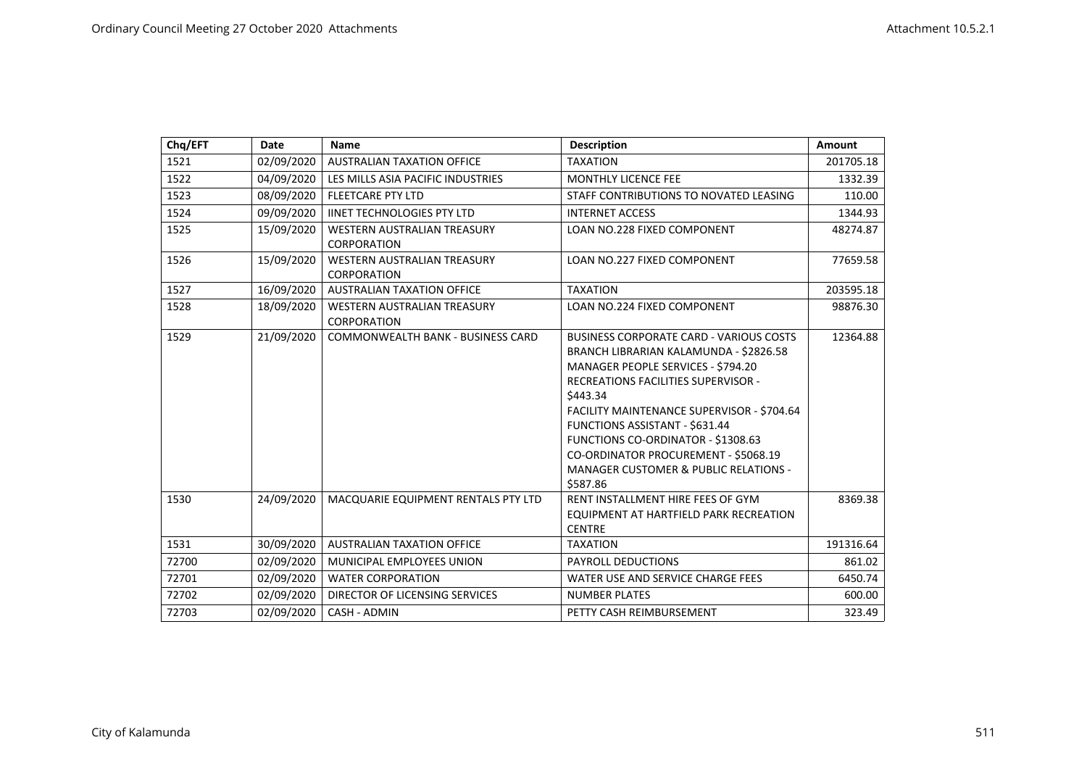| Chq/EFT | Date       | <b>Name</b>                                              | <b>Description</b>                                                                                                                                                                                                                                                                                                                                                                                                     | Amount    |
|---------|------------|----------------------------------------------------------|------------------------------------------------------------------------------------------------------------------------------------------------------------------------------------------------------------------------------------------------------------------------------------------------------------------------------------------------------------------------------------------------------------------------|-----------|
| 1521    | 02/09/2020 | <b>AUSTRALIAN TAXATION OFFICE</b>                        | <b>TAXATION</b>                                                                                                                                                                                                                                                                                                                                                                                                        | 201705.18 |
| 1522    | 04/09/2020 | LES MILLS ASIA PACIFIC INDUSTRIES                        | <b>MONTHLY LICENCE FEE</b>                                                                                                                                                                                                                                                                                                                                                                                             | 1332.39   |
| 1523    | 08/09/2020 | <b>FLEETCARE PTY LTD</b>                                 | STAFF CONTRIBUTIONS TO NOVATED LEASING                                                                                                                                                                                                                                                                                                                                                                                 | 110.00    |
| 1524    | 09/09/2020 | <b>IINET TECHNOLOGIES PTY LTD</b>                        | <b>INTERNET ACCESS</b>                                                                                                                                                                                                                                                                                                                                                                                                 | 1344.93   |
| 1525    | 15/09/2020 | <b>WESTERN AUSTRALIAN TREASURY</b><br><b>CORPORATION</b> | <b>LOAN NO.228 FIXED COMPONENT</b>                                                                                                                                                                                                                                                                                                                                                                                     | 48274.87  |
| 1526    | 15/09/2020 | <b>WESTERN AUSTRALIAN TREASURY</b><br>CORPORATION        | <b>LOAN NO.227 FIXED COMPONENT</b>                                                                                                                                                                                                                                                                                                                                                                                     | 77659.58  |
| 1527    | 16/09/2020 | <b>AUSTRALIAN TAXATION OFFICE</b>                        | <b>TAXATION</b>                                                                                                                                                                                                                                                                                                                                                                                                        | 203595.18 |
| 1528    | 18/09/2020 | WESTERN AUSTRALIAN TREASURY<br>CORPORATION               | LOAN NO.224 FIXED COMPONENT                                                                                                                                                                                                                                                                                                                                                                                            | 98876.30  |
| 1529    | 21/09/2020 | <b>COMMONWEALTH BANK - BUSINESS CARD</b>                 | <b>BUSINESS CORPORATE CARD - VARIOUS COSTS</b><br>BRANCH LIBRARIAN KALAMUNDA - \$2826.58<br>MANAGER PEOPLE SERVICES - \$794.20<br><b>RECREATIONS FACILITIES SUPERVISOR -</b><br>\$443.34<br>FACILITY MAINTENANCE SUPERVISOR - \$704.64<br>FUNCTIONS ASSISTANT - \$631.44<br>FUNCTIONS CO-ORDINATOR - \$1308.63<br>CO-ORDINATOR PROCUREMENT - \$5068.19<br><b>MANAGER CUSTOMER &amp; PUBLIC RELATIONS -</b><br>\$587.86 | 12364.88  |
| 1530    | 24/09/2020 | MACQUARIE EQUIPMENT RENTALS PTY LTD                      | RENT INSTALLMENT HIRE FEES OF GYM<br>EQUIPMENT AT HARTFIELD PARK RECREATION<br><b>CENTRE</b>                                                                                                                                                                                                                                                                                                                           | 8369.38   |
| 1531    | 30/09/2020 | <b>AUSTRALIAN TAXATION OFFICE</b>                        | <b>TAXATION</b>                                                                                                                                                                                                                                                                                                                                                                                                        | 191316.64 |
| 72700   | 02/09/2020 | MUNICIPAL EMPLOYEES UNION                                | PAYROLL DEDUCTIONS                                                                                                                                                                                                                                                                                                                                                                                                     | 861.02    |
| 72701   | 02/09/2020 | <b>WATER CORPORATION</b>                                 | WATER USE AND SERVICE CHARGE FEES                                                                                                                                                                                                                                                                                                                                                                                      | 6450.74   |
| 72702   | 02/09/2020 | DIRECTOR OF LICENSING SERVICES                           | <b>NUMBER PLATES</b>                                                                                                                                                                                                                                                                                                                                                                                                   | 600.00    |
| 72703   | 02/09/2020 | CASH - ADMIN                                             | PETTY CASH REIMBURSEMENT                                                                                                                                                                                                                                                                                                                                                                                               | 323.49    |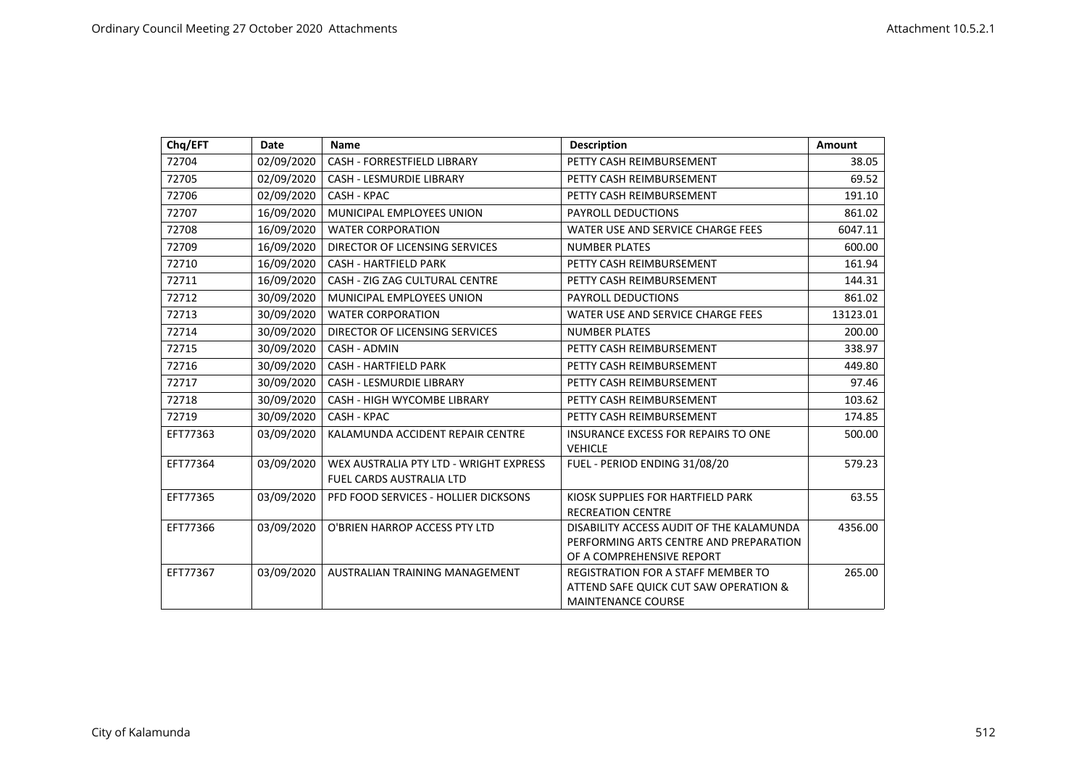| Chq/EFT  | Date       | <b>Name</b>                                                        | <b>Description</b>                                                                                              | <b>Amount</b> |
|----------|------------|--------------------------------------------------------------------|-----------------------------------------------------------------------------------------------------------------|---------------|
| 72704    | 02/09/2020 | CASH - FORRESTFIELD LIBRARY                                        | PETTY CASH REIMBURSEMENT                                                                                        | 38.05         |
| 72705    | 02/09/2020 | <b>CASH - LESMURDIE LIBRARY</b>                                    | PETTY CASH REIMBURSEMENT                                                                                        | 69.52         |
| 72706    | 02/09/2020 | CASH - KPAC                                                        | PETTY CASH REIMBURSEMENT                                                                                        | 191.10        |
| 72707    | 16/09/2020 | MUNICIPAL EMPLOYEES UNION                                          | PAYROLL DEDUCTIONS                                                                                              | 861.02        |
| 72708    | 16/09/2020 | <b>WATER CORPORATION</b>                                           | WATER USE AND SERVICE CHARGE FEES                                                                               | 6047.11       |
| 72709    | 16/09/2020 | DIRECTOR OF LICENSING SERVICES                                     | <b>NUMBER PLATES</b>                                                                                            | 600.00        |
| 72710    | 16/09/2020 | <b>CASH - HARTFIELD PARK</b>                                       | PETTY CASH REIMBURSEMENT                                                                                        | 161.94        |
| 72711    | 16/09/2020 | CASH - ZIG ZAG CULTURAL CENTRE                                     | PETTY CASH REIMBURSEMENT                                                                                        | 144.31        |
| 72712    | 30/09/2020 | MUNICIPAL EMPLOYEES UNION                                          | PAYROLL DEDUCTIONS                                                                                              | 861.02        |
| 72713    | 30/09/2020 | <b>WATER CORPORATION</b>                                           | WATER USE AND SERVICE CHARGE FEES                                                                               | 13123.01      |
| 72714    | 30/09/2020 | DIRECTOR OF LICENSING SERVICES                                     | <b>NUMBER PLATES</b>                                                                                            | 200.00        |
| 72715    | 30/09/2020 | CASH - ADMIN                                                       | PETTY CASH REIMBURSEMENT                                                                                        | 338.97        |
| 72716    | 30/09/2020 | <b>CASH - HARTFIELD PARK</b>                                       | PETTY CASH REIMBURSEMENT                                                                                        | 449.80        |
| 72717    | 30/09/2020 | <b>CASH - LESMURDIE LIBRARY</b>                                    | PETTY CASH REIMBURSEMENT                                                                                        | 97.46         |
| 72718    | 30/09/2020 | <b>CASH - HIGH WYCOMBE LIBRARY</b>                                 | PETTY CASH REIMBURSEMENT                                                                                        | 103.62        |
| 72719    | 30/09/2020 | CASH - KPAC                                                        | PETTY CASH REIMBURSEMENT                                                                                        | 174.85        |
| EFT77363 | 03/09/2020 | KALAMUNDA ACCIDENT REPAIR CENTRE                                   | <b>INSURANCE EXCESS FOR REPAIRS TO ONE</b><br><b>VEHICLE</b>                                                    | 500.00        |
| EFT77364 | 03/09/2020 | WEX AUSTRALIA PTY LTD - WRIGHT EXPRESS<br>FUEL CARDS AUSTRALIA LTD | FUEL - PERIOD ENDING 31/08/20                                                                                   | 579.23        |
| EFT77365 | 03/09/2020 | PFD FOOD SERVICES - HOLLIER DICKSONS                               | KIOSK SUPPLIES FOR HARTFIELD PARK<br><b>RECREATION CENTRE</b>                                                   | 63.55         |
| EFT77366 | 03/09/2020 | O'BRIEN HARROP ACCESS PTY LTD                                      | DISABILITY ACCESS AUDIT OF THE KALAMUNDA<br>PERFORMING ARTS CENTRE AND PREPARATION<br>OF A COMPREHENSIVE REPORT | 4356.00       |
| EFT77367 | 03/09/2020 | AUSTRALIAN TRAINING MANAGEMENT                                     | <b>REGISTRATION FOR A STAFF MEMBER TO</b><br>ATTEND SAFE QUICK CUT SAW OPERATION &<br><b>MAINTENANCE COURSE</b> | 265.00        |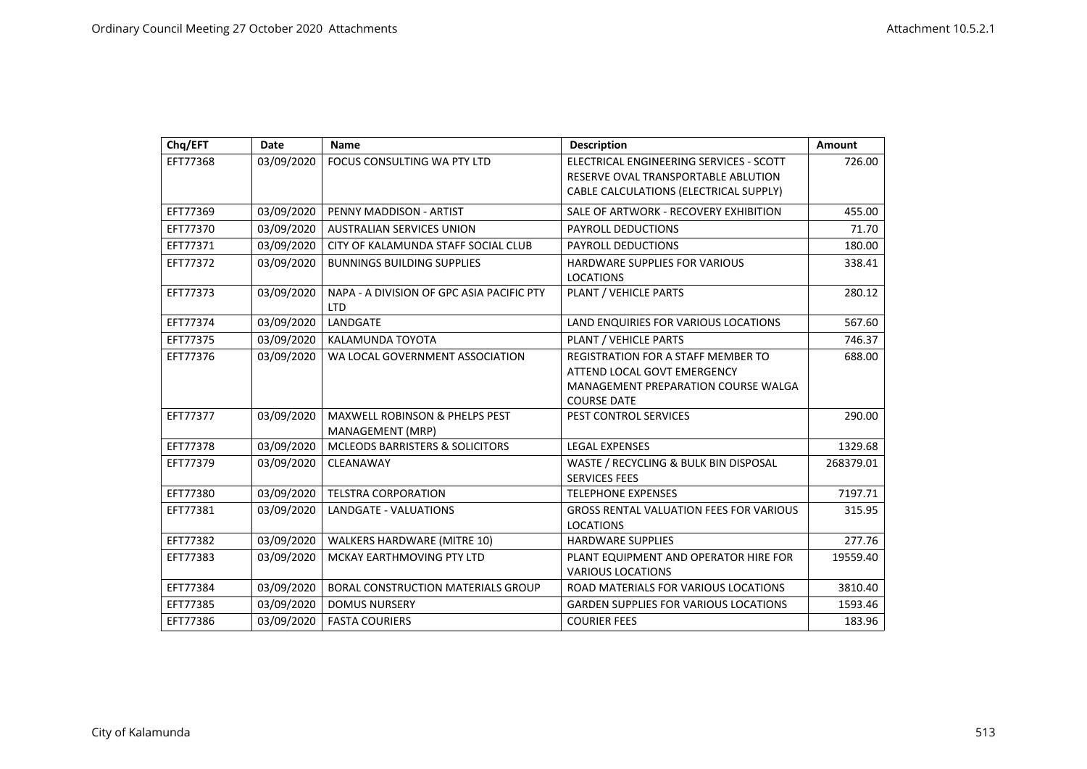| Chq/EFT  | Date       | <b>Name</b>                                                   | <b>Description</b>                                                                                                                    | Amount    |
|----------|------------|---------------------------------------------------------------|---------------------------------------------------------------------------------------------------------------------------------------|-----------|
| EFT77368 | 03/09/2020 | FOCUS CONSULTING WA PTY LTD                                   | ELECTRICAL ENGINEERING SERVICES - SCOTT<br>RESERVE OVAL TRANSPORTABLE ABLUTION<br>CABLE CALCULATIONS (ELECTRICAL SUPPLY)              | 726.00    |
| EFT77369 | 03/09/2020 | PENNY MADDISON - ARTIST                                       | SALE OF ARTWORK - RECOVERY EXHIBITION                                                                                                 | 455.00    |
| EFT77370 | 03/09/2020 | <b>AUSTRALIAN SERVICES UNION</b>                              | <b>PAYROLL DEDUCTIONS</b>                                                                                                             | 71.70     |
| EFT77371 | 03/09/2020 | CITY OF KALAMUNDA STAFF SOCIAL CLUB                           | <b>PAYROLL DEDUCTIONS</b>                                                                                                             | 180.00    |
| EFT77372 | 03/09/2020 | <b>BUNNINGS BUILDING SUPPLIES</b>                             | <b>HARDWARE SUPPLIES FOR VARIOUS</b><br><b>LOCATIONS</b>                                                                              | 338.41    |
| EFT77373 | 03/09/2020 | NAPA - A DIVISION OF GPC ASIA PACIFIC PTY<br><b>LTD</b>       | PLANT / VEHICLE PARTS                                                                                                                 | 280.12    |
| EFT77374 | 03/09/2020 | LANDGATE                                                      | LAND ENQUIRIES FOR VARIOUS LOCATIONS                                                                                                  | 567.60    |
| EFT77375 | 03/09/2020 | KALAMUNDA TOYOTA                                              | PLANT / VEHICLE PARTS                                                                                                                 | 746.37    |
| EFT77376 | 03/09/2020 | WA LOCAL GOVERNMENT ASSOCIATION                               | <b>REGISTRATION FOR A STAFF MEMBER TO</b><br>ATTEND LOCAL GOVT EMERGENCY<br>MANAGEMENT PREPARATION COURSE WALGA<br><b>COURSE DATE</b> | 688.00    |
| EFT77377 | 03/09/2020 | <b>MAXWELL ROBINSON &amp; PHELPS PEST</b><br>MANAGEMENT (MRP) | PEST CONTROL SERVICES                                                                                                                 | 290.00    |
| EFT77378 | 03/09/2020 | <b>MCLEODS BARRISTERS &amp; SOLICITORS</b>                    | <b>LEGAL EXPENSES</b>                                                                                                                 | 1329.68   |
| EFT77379 | 03/09/2020 | CLEANAWAY                                                     | WASTE / RECYCLING & BULK BIN DISPOSAL<br><b>SERVICES FEES</b>                                                                         | 268379.01 |
| EFT77380 | 03/09/2020 | <b>TELSTRA CORPORATION</b>                                    | <b>TELEPHONE EXPENSES</b>                                                                                                             | 7197.71   |
| EFT77381 | 03/09/2020 | LANDGATE - VALUATIONS                                         | <b>GROSS RENTAL VALUATION FEES FOR VARIOUS</b><br><b>LOCATIONS</b>                                                                    | 315.95    |
| EFT77382 | 03/09/2020 | <b>WALKERS HARDWARE (MITRE 10)</b>                            | <b>HARDWARE SUPPLIES</b>                                                                                                              | 277.76    |
| EFT77383 | 03/09/2020 | MCKAY EARTHMOVING PTY LTD                                     | PLANT EQUIPMENT AND OPERATOR HIRE FOR<br><b>VARIOUS LOCATIONS</b>                                                                     | 19559.40  |
| EFT77384 | 03/09/2020 | <b>BORAL CONSTRUCTION MATERIALS GROUP</b>                     | ROAD MATERIALS FOR VARIOUS LOCATIONS                                                                                                  | 3810.40   |
| EFT77385 | 03/09/2020 | <b>DOMUS NURSERY</b>                                          | <b>GARDEN SUPPLIES FOR VARIOUS LOCATIONS</b>                                                                                          | 1593.46   |
| EFT77386 | 03/09/2020 | <b>FASTA COURIERS</b>                                         | <b>COURIER FEES</b>                                                                                                                   | 183.96    |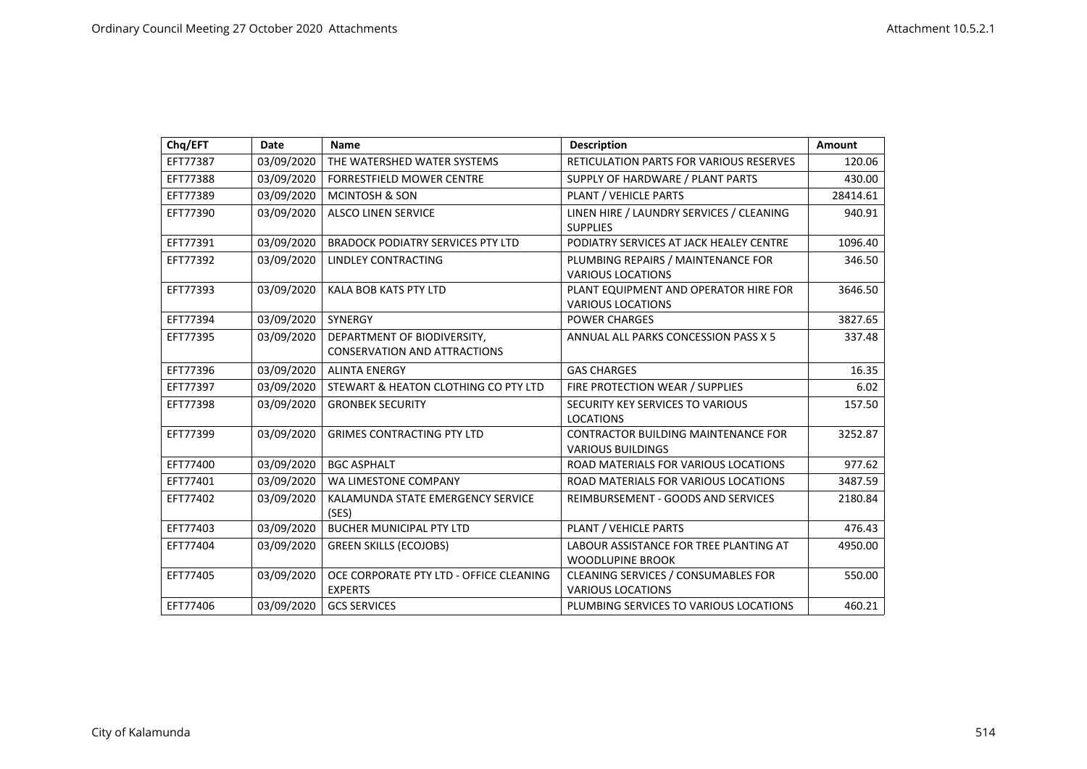| Chq/EFT  | Date       | <b>Name</b>                                                        | <b>Description</b>                                                | <b>Amount</b> |
|----------|------------|--------------------------------------------------------------------|-------------------------------------------------------------------|---------------|
| EFT77387 | 03/09/2020 | THE WATERSHED WATER SYSTEMS                                        | RETICULATION PARTS FOR VARIOUS RESERVES                           | 120.06        |
| EFT77388 | 03/09/2020 | <b>FORRESTFIELD MOWER CENTRE</b>                                   | SUPPLY OF HARDWARE / PLANT PARTS                                  | 430.00        |
| EFT77389 | 03/09/2020 | <b>MCINTOSH &amp; SON</b>                                          | PLANT / VEHICLE PARTS                                             | 28414.61      |
| EFT77390 | 03/09/2020 | <b>ALSCO LINEN SERVICE</b>                                         | LINEN HIRE / LAUNDRY SERVICES / CLEANING<br><b>SUPPLIES</b>       | 940.91        |
| EFT77391 | 03/09/2020 | <b>BRADOCK PODIATRY SERVICES PTY LTD</b>                           | PODIATRY SERVICES AT JACK HEALEY CENTRE                           | 1096.40       |
| EFT77392 | 03/09/2020 | LINDLEY CONTRACTING                                                | PLUMBING REPAIRS / MAINTENANCE FOR<br><b>VARIOUS LOCATIONS</b>    | 346.50        |
| EFT77393 | 03/09/2020 | <b>KALA BOB KATS PTY LTD</b>                                       | PLANT EQUIPMENT AND OPERATOR HIRE FOR<br><b>VARIOUS LOCATIONS</b> | 3646.50       |
| EFT77394 | 03/09/2020 | SYNERGY                                                            | <b>POWER CHARGES</b>                                              | 3827.65       |
| EFT77395 | 03/09/2020 | DEPARTMENT OF BIODIVERSITY,<br><b>CONSERVATION AND ATTRACTIONS</b> | ANNUAL ALL PARKS CONCESSION PASS X 5                              | 337.48        |
| EFT77396 | 03/09/2020 | <b>ALINTA ENERGY</b>                                               | <b>GAS CHARGES</b>                                                | 16.35         |
| EFT77397 | 03/09/2020 | STEWART & HEATON CLOTHING CO PTY LTD                               | FIRE PROTECTION WEAR / SUPPLIES                                   | 6.02          |
| EFT77398 | 03/09/2020 | <b>GRONBEK SECURITY</b>                                            | SECURITY KEY SERVICES TO VARIOUS<br><b>LOCATIONS</b>              | 157.50        |
| EFT77399 | 03/09/2020 | <b>GRIMES CONTRACTING PTY LTD</b>                                  | CONTRACTOR BUILDING MAINTENANCE FOR<br><b>VARIOUS BUILDINGS</b>   | 3252.87       |
| EFT77400 | 03/09/2020 | <b>BGC ASPHALT</b>                                                 | ROAD MATERIALS FOR VARIOUS LOCATIONS                              | 977.62        |
| EFT77401 | 03/09/2020 | WA LIMESTONE COMPANY                                               | ROAD MATERIALS FOR VARIOUS LOCATIONS                              | 3487.59       |
| EFT77402 | 03/09/2020 | KALAMUNDA STATE EMERGENCY SERVICE<br>(SES)                         | REIMBURSEMENT - GOODS AND SERVICES                                | 2180.84       |
| EFT77403 | 03/09/2020 | <b>BUCHER MUNICIPAL PTY LTD</b>                                    | PLANT / VEHICLE PARTS                                             | 476.43        |
| EFT77404 | 03/09/2020 | <b>GREEN SKILLS (ECOJOBS)</b>                                      | LABOUR ASSISTANCE FOR TREE PLANTING AT<br><b>WOODLUPINE BROOK</b> | 4950.00       |
| EFT77405 | 03/09/2020 | OCE CORPORATE PTY LTD - OFFICE CLEANING<br><b>EXPERTS</b>          | CLEANING SERVICES / CONSUMABLES FOR<br><b>VARIOUS LOCATIONS</b>   | 550.00        |
| EFT77406 | 03/09/2020 | <b>GCS SERVICES</b>                                                | PLUMBING SERVICES TO VARIOUS LOCATIONS                            | 460.21        |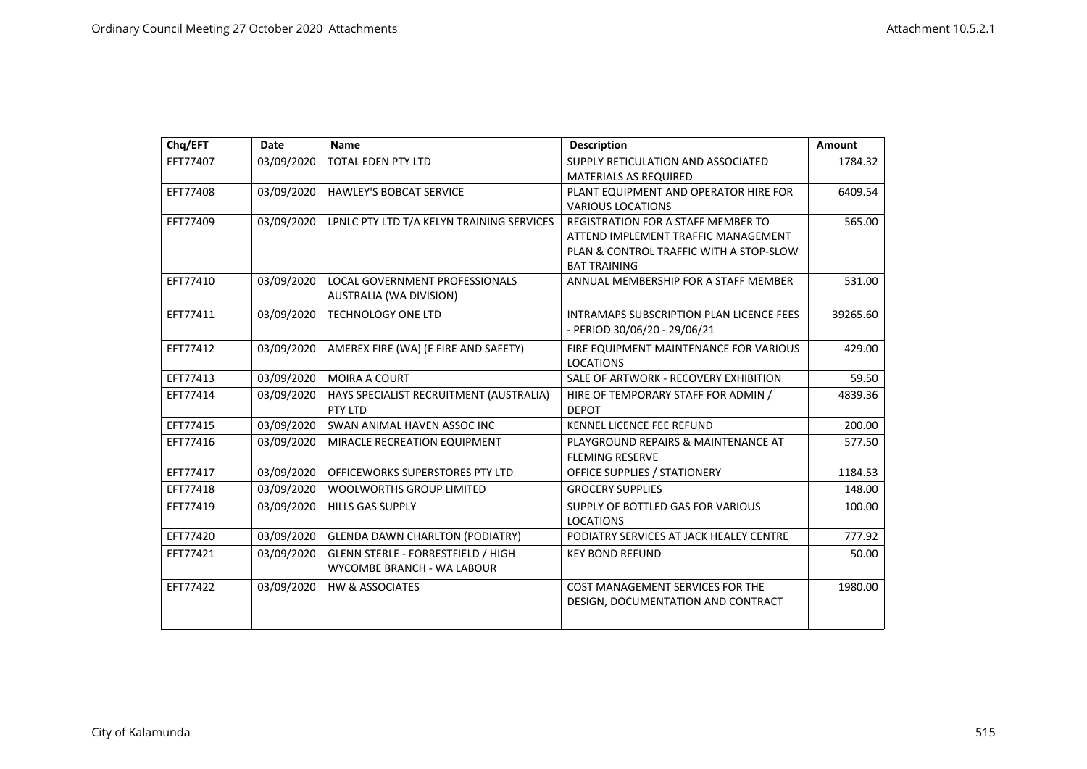| Chq/EFT  | Date       | Name                                                                    | <b>Description</b>                                                                                                                                 | <b>Amount</b> |
|----------|------------|-------------------------------------------------------------------------|----------------------------------------------------------------------------------------------------------------------------------------------------|---------------|
| EFT77407 | 03/09/2020 | <b>TOTAL EDEN PTY LTD</b>                                               | SUPPLY RETICULATION AND ASSOCIATED<br><b>MATERIALS AS REQUIRED</b>                                                                                 | 1784.32       |
| EFT77408 | 03/09/2020 | <b>HAWLEY'S BOBCAT SERVICE</b>                                          | PLANT EQUIPMENT AND OPERATOR HIRE FOR<br><b>VARIOUS LOCATIONS</b>                                                                                  | 6409.54       |
| EFT77409 | 03/09/2020 | LPNLC PTY LTD T/A KELYN TRAINING SERVICES                               | <b>REGISTRATION FOR A STAFF MEMBER TO</b><br>ATTEND IMPLEMENT TRAFFIC MANAGEMENT<br>PLAN & CONTROL TRAFFIC WITH A STOP-SLOW<br><b>BAT TRAINING</b> | 565.00        |
| EFT77410 | 03/09/2020 | <b>LOCAL GOVERNMENT PROFESSIONALS</b><br>AUSTRALIA (WA DIVISION)        | ANNUAL MEMBERSHIP FOR A STAFF MEMBER                                                                                                               | 531.00        |
| EFT77411 | 03/09/2020 | <b>TECHNOLOGY ONE LTD</b>                                               | INTRAMAPS SUBSCRIPTION PLAN LICENCE FEES<br>- PERIOD 30/06/20 - 29/06/21                                                                           | 39265.60      |
| EFT77412 | 03/09/2020 | AMEREX FIRE (WA) (E FIRE AND SAFETY)                                    | FIRE EQUIPMENT MAINTENANCE FOR VARIOUS<br><b>LOCATIONS</b>                                                                                         | 429.00        |
| EFT77413 | 03/09/2020 | MOIRA A COURT                                                           | SALE OF ARTWORK - RECOVERY EXHIBITION                                                                                                              | 59.50         |
| EFT77414 | 03/09/2020 | HAYS SPECIALIST RECRUITMENT (AUSTRALIA)<br>PTY LTD                      | HIRE OF TEMPORARY STAFF FOR ADMIN /<br><b>DEPOT</b>                                                                                                | 4839.36       |
| EFT77415 | 03/09/2020 | SWAN ANIMAL HAVEN ASSOC INC                                             | <b>KENNEL LICENCE FEE REFUND</b>                                                                                                                   | 200.00        |
| EFT77416 | 03/09/2020 | MIRACLE RECREATION EQUIPMENT                                            | PLAYGROUND REPAIRS & MAINTENANCE AT<br><b>FLEMING RESERVE</b>                                                                                      | 577.50        |
| EFT77417 | 03/09/2020 | OFFICEWORKS SUPERSTORES PTY LTD                                         | OFFICE SUPPLIES / STATIONERY                                                                                                                       | 1184.53       |
| EFT77418 | 03/09/2020 | <b>WOOLWORTHS GROUP LIMITED</b>                                         | <b>GROCERY SUPPLIES</b>                                                                                                                            | 148.00        |
| EFT77419 | 03/09/2020 | <b>HILLS GAS SUPPLY</b>                                                 | SUPPLY OF BOTTLED GAS FOR VARIOUS<br><b>LOCATIONS</b>                                                                                              | 100.00        |
| EFT77420 | 03/09/2020 | <b>GLENDA DAWN CHARLTON (PODIATRY)</b>                                  | PODIATRY SERVICES AT JACK HEALEY CENTRE                                                                                                            | 777.92        |
| EFT77421 | 03/09/2020 | <b>GLENN STERLE - FORRESTFIELD / HIGH</b><br>WYCOMBE BRANCH - WA LABOUR | <b>KEY BOND REFUND</b>                                                                                                                             | 50.00         |
| EFT77422 | 03/09/2020 | <b>HW &amp; ASSOCIATES</b>                                              | COST MANAGEMENT SERVICES FOR THE<br>DESIGN, DOCUMENTATION AND CONTRACT                                                                             | 1980.00       |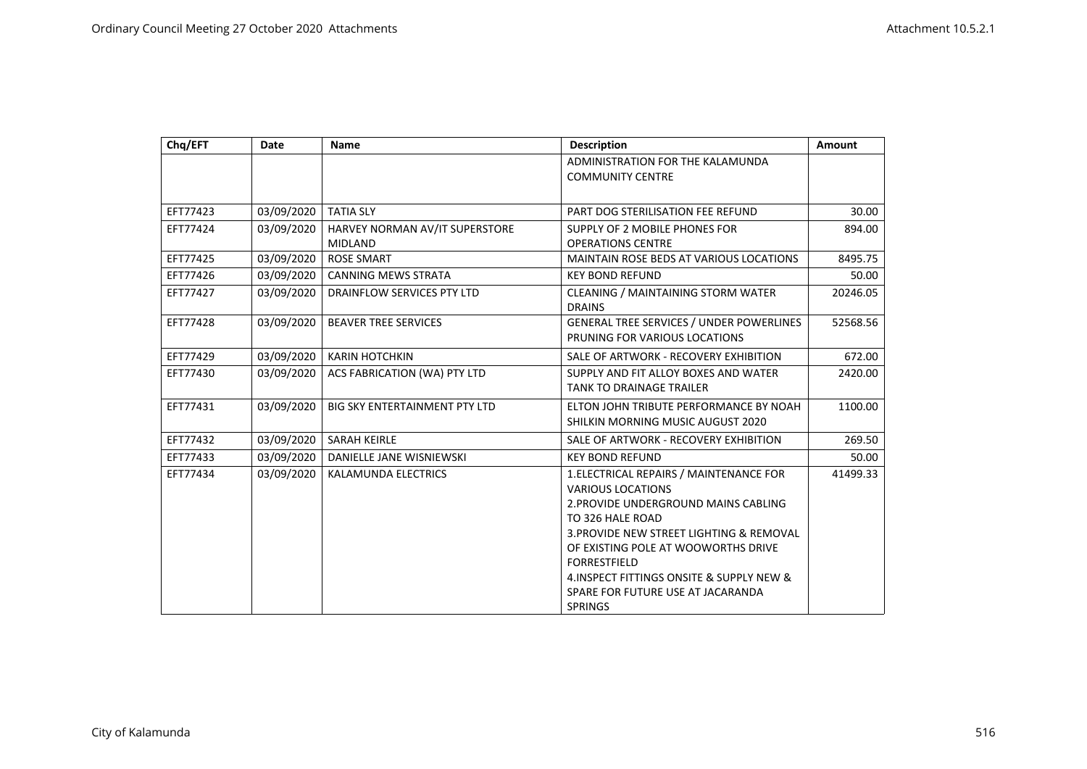| Chq/EFT  | Date       | <b>Name</b>                          | <b>Description</b>                              | Amount   |
|----------|------------|--------------------------------------|-------------------------------------------------|----------|
|          |            |                                      | ADMINISTRATION FOR THE KALAMUNDA                |          |
|          |            |                                      | <b>COMMUNITY CENTRE</b>                         |          |
|          |            |                                      |                                                 |          |
| EFT77423 | 03/09/2020 | <b>TATIA SLY</b>                     | PART DOG STERILISATION FEE REFUND               | 30.00    |
| EFT77424 | 03/09/2020 | HARVEY NORMAN AV/IT SUPERSTORE       | SUPPLY OF 2 MOBILE PHONES FOR                   | 894.00   |
|          |            | <b>MIDLAND</b>                       | <b>OPERATIONS CENTRE</b>                        |          |
| EFT77425 | 03/09/2020 | <b>ROSE SMART</b>                    | <b>MAINTAIN ROSE BEDS AT VARIOUS LOCATIONS</b>  | 8495.75  |
| EFT77426 | 03/09/2020 | <b>CANNING MEWS STRATA</b>           | <b>KEY BOND REFUND</b>                          | 50.00    |
| EFT77427 | 03/09/2020 | DRAINFLOW SERVICES PTY LTD           | CLEANING / MAINTAINING STORM WATER              | 20246.05 |
|          |            |                                      | <b>DRAINS</b>                                   |          |
| EFT77428 | 03/09/2020 | <b>BEAVER TREE SERVICES</b>          | <b>GENERAL TREE SERVICES / UNDER POWERLINES</b> | 52568.56 |
|          |            |                                      | PRUNING FOR VARIOUS LOCATIONS                   |          |
| EFT77429 | 03/09/2020 | <b>KARIN HOTCHKIN</b>                | SALE OF ARTWORK - RECOVERY EXHIBITION           | 672.00   |
| EFT77430 | 03/09/2020 | ACS FABRICATION (WA) PTY LTD         | SUPPLY AND FIT ALLOY BOXES AND WATER            | 2420.00  |
|          |            |                                      | <b>TANK TO DRAINAGE TRAILER</b>                 |          |
| EFT77431 | 03/09/2020 | <b>BIG SKY ENTERTAINMENT PTY LTD</b> | ELTON JOHN TRIBUTE PERFORMANCE BY NOAH          | 1100.00  |
|          |            |                                      | SHILKIN MORNING MUSIC AUGUST 2020               |          |
| EFT77432 | 03/09/2020 | <b>SARAH KEIRLE</b>                  | SALE OF ARTWORK - RECOVERY EXHIBITION           | 269.50   |
| EFT77433 | 03/09/2020 | DANIELLE JANE WISNIEWSKI             | <b>KEY BOND REFUND</b>                          | 50.00    |
| EFT77434 | 03/09/2020 | <b>KALAMUNDA ELECTRICS</b>           | 1. ELECTRICAL REPAIRS / MAINTENANCE FOR         | 41499.33 |
|          |            |                                      | <b>VARIOUS LOCATIONS</b>                        |          |
|          |            |                                      | 2. PROVIDE UNDERGROUND MAINS CABLING            |          |
|          |            |                                      | TO 326 HALE ROAD                                |          |
|          |            |                                      | 3. PROVIDE NEW STREET LIGHTING & REMOVAL        |          |
|          |            |                                      | OF EXISTING POLE AT WOOWORTHS DRIVE             |          |
|          |            |                                      | <b>FORRESTFIELD</b>                             |          |
|          |            |                                      | 4. INSPECT FITTINGS ONSITE & SUPPLY NEW &       |          |
|          |            |                                      | SPARE FOR FUTURE USE AT JACARANDA               |          |
|          |            |                                      | <b>SPRINGS</b>                                  |          |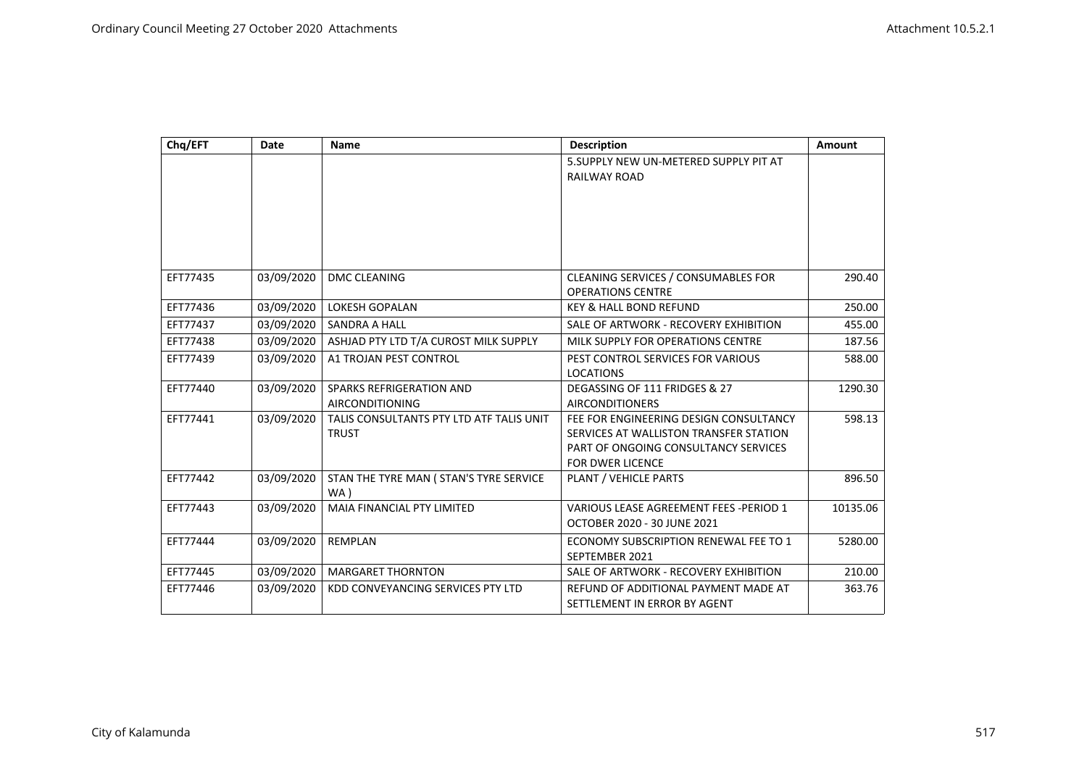| Chq/EFT  | Date       | <b>Name</b>                                              | <b>Description</b>                                                                                                                                  | Amount   |
|----------|------------|----------------------------------------------------------|-----------------------------------------------------------------------------------------------------------------------------------------------------|----------|
|          |            |                                                          | 5.SUPPLY NEW UN-METERED SUPPLY PIT AT<br><b>RAILWAY ROAD</b>                                                                                        |          |
|          |            |                                                          |                                                                                                                                                     |          |
|          |            |                                                          |                                                                                                                                                     |          |
| EFT77435 | 03/09/2020 | <b>DMC CLEANING</b>                                      | CLEANING SERVICES / CONSUMABLES FOR<br><b>OPERATIONS CENTRE</b>                                                                                     | 290.40   |
| EFT77436 | 03/09/2020 | <b>LOKESH GOPALAN</b>                                    | <b>KEY &amp; HALL BOND REFUND</b>                                                                                                                   | 250.00   |
| EFT77437 | 03/09/2020 | <b>SANDRA A HALL</b>                                     | SALE OF ARTWORK - RECOVERY EXHIBITION                                                                                                               | 455.00   |
| EFT77438 | 03/09/2020 | ASHJAD PTY LTD T/A CUROST MILK SUPPLY                    | MILK SUPPLY FOR OPERATIONS CENTRE                                                                                                                   | 187.56   |
| EFT77439 | 03/09/2020 | A1 TROJAN PEST CONTROL                                   | PEST CONTROL SERVICES FOR VARIOUS<br><b>LOCATIONS</b>                                                                                               | 588.00   |
| EFT77440 | 03/09/2020 | SPARKS REFRIGERATION AND<br><b>AIRCONDITIONING</b>       | DEGASSING OF 111 FRIDGES & 27<br><b>AIRCONDITIONERS</b>                                                                                             | 1290.30  |
| EFT77441 | 03/09/2020 | TALIS CONSULTANTS PTY LTD ATF TALIS UNIT<br><b>TRUST</b> | FEE FOR ENGINEERING DESIGN CONSULTANCY<br>SERVICES AT WALLISTON TRANSFER STATION<br>PART OF ONGOING CONSULTANCY SERVICES<br><b>FOR DWER LICENCE</b> | 598.13   |
| EFT77442 | 03/09/2020 | STAN THE TYRE MAN ( STAN'S TYRE SERVICE<br>WA)           | <b>PLANT / VEHICLE PARTS</b>                                                                                                                        | 896.50   |
| EFT77443 | 03/09/2020 | <b>MAIA FINANCIAL PTY LIMITED</b>                        | VARIOUS LEASE AGREEMENT FEES -PERIOD 1<br>OCTOBER 2020 - 30 JUNE 2021                                                                               | 10135.06 |
| EFT77444 | 03/09/2020 | <b>REMPLAN</b>                                           | ECONOMY SUBSCRIPTION RENEWAL FEE TO 1<br>SEPTEMBER 2021                                                                                             | 5280.00  |
| EFT77445 | 03/09/2020 | <b>MARGARET THORNTON</b>                                 | SALE OF ARTWORK - RECOVERY EXHIBITION                                                                                                               | 210.00   |
| EFT77446 | 03/09/2020 | KDD CONVEYANCING SERVICES PTY LTD                        | REFUND OF ADDITIONAL PAYMENT MADE AT<br>SETTLEMENT IN ERROR BY AGENT                                                                                | 363.76   |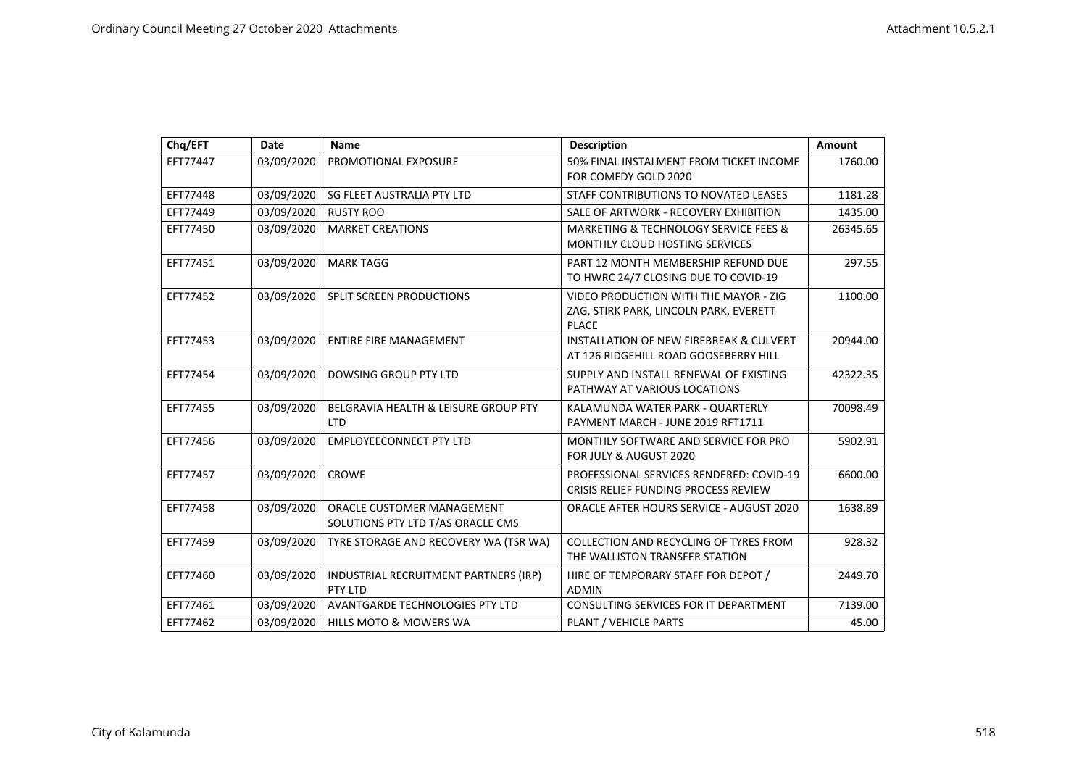| Chq/EFT  | Date       | <b>Name</b>                                                     | <b>Description</b>                                                                              | Amount   |
|----------|------------|-----------------------------------------------------------------|-------------------------------------------------------------------------------------------------|----------|
| EFT77447 | 03/09/2020 | PROMOTIONAL EXPOSURE                                            | 50% FINAL INSTALMENT FROM TICKET INCOME<br>FOR COMEDY GOLD 2020                                 | 1760.00  |
| EFT77448 | 03/09/2020 | SG FLEET AUSTRALIA PTY LTD                                      | STAFF CONTRIBUTIONS TO NOVATED LEASES                                                           | 1181.28  |
| EFT77449 | 03/09/2020 | <b>RUSTY ROO</b>                                                | SALE OF ARTWORK - RECOVERY EXHIBITION                                                           | 1435.00  |
| EFT77450 | 03/09/2020 | <b>MARKET CREATIONS</b>                                         | <b>MARKETING &amp; TECHNOLOGY SERVICE FEES &amp;</b><br>MONTHLY CLOUD HOSTING SERVICES          | 26345.65 |
| EFT77451 | 03/09/2020 | <b>MARK TAGG</b>                                                | PART 12 MONTH MEMBERSHIP REFUND DUE<br>TO HWRC 24/7 CLOSING DUE TO COVID-19                     | 297.55   |
| EFT77452 | 03/09/2020 | <b>SPLIT SCREEN PRODUCTIONS</b>                                 | VIDEO PRODUCTION WITH THE MAYOR - ZIG<br>ZAG, STIRK PARK, LINCOLN PARK, EVERETT<br><b>PLACE</b> | 1100.00  |
| EFT77453 | 03/09/2020 | <b>ENTIRE FIRE MANAGEMENT</b>                                   | <b>INSTALLATION OF NEW FIREBREAK &amp; CULVERT</b><br>AT 126 RIDGEHILL ROAD GOOSEBERRY HILL     | 20944.00 |
| EFT77454 | 03/09/2020 | DOWSING GROUP PTY LTD                                           | SUPPLY AND INSTALL RENEWAL OF EXISTING<br>PATHWAY AT VARIOUS LOCATIONS                          | 42322.35 |
| EFT77455 | 03/09/2020 | BELGRAVIA HEALTH & LEISURE GROUP PTY<br><b>LTD</b>              | KALAMUNDA WATER PARK - QUARTERLY<br>PAYMENT MARCH - JUNE 2019 RFT1711                           | 70098.49 |
| EFT77456 | 03/09/2020 | <b>EMPLOYEECONNECT PTY LTD</b>                                  | MONTHLY SOFTWARE AND SERVICE FOR PRO<br>FOR JULY & AUGUST 2020                                  | 5902.91  |
| EFT77457 | 03/09/2020 | <b>CROWE</b>                                                    | PROFESSIONAL SERVICES RENDERED: COVID-19<br>CRISIS RELIEF FUNDING PROCESS REVIEW                | 6600.00  |
| EFT77458 | 03/09/2020 | ORACLE CUSTOMER MANAGEMENT<br>SOLUTIONS PTY LTD T/AS ORACLE CMS | <b>ORACLE AFTER HOURS SERVICE - AUGUST 2020</b>                                                 | 1638.89  |
| EFT77459 | 03/09/2020 | TYRE STORAGE AND RECOVERY WA (TSR WA)                           | COLLECTION AND RECYCLING OF TYRES FROM<br>THE WALLISTON TRANSFER STATION                        | 928.32   |
| EFT77460 | 03/09/2020 | INDUSTRIAL RECRUITMENT PARTNERS (IRP)<br>PTY LTD                | HIRE OF TEMPORARY STAFF FOR DEPOT /<br><b>ADMIN</b>                                             | 2449.70  |
| EFT77461 | 03/09/2020 | AVANTGARDE TECHNOLOGIES PTY LTD                                 | CONSULTING SERVICES FOR IT DEPARTMENT                                                           | 7139.00  |
| EFT77462 | 03/09/2020 | <b>HILLS MOTO &amp; MOWERS WA</b>                               | PLANT / VEHICLE PARTS                                                                           | 45.00    |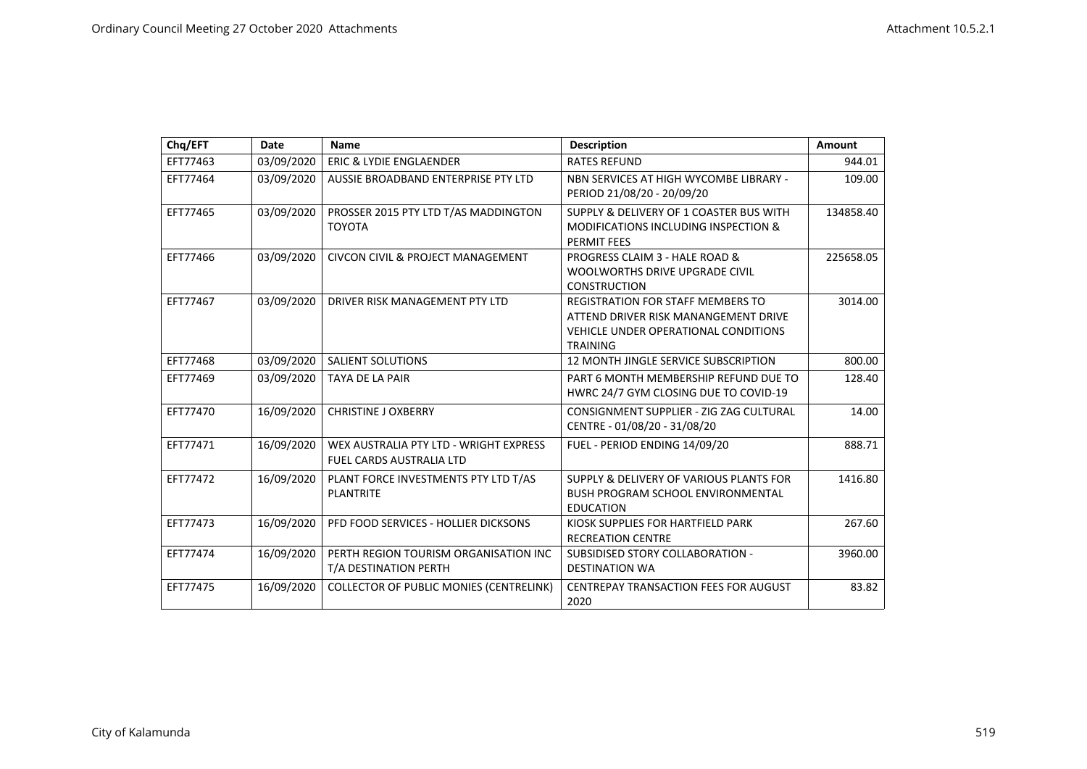| Chq/EFT  | Date       | <b>Name</b>                                                               | <b>Description</b>                                                                                                                                 | <b>Amount</b> |
|----------|------------|---------------------------------------------------------------------------|----------------------------------------------------------------------------------------------------------------------------------------------------|---------------|
| EFT77463 | 03/09/2020 | <b>ERIC &amp; LYDIE ENGLAENDER</b>                                        | <b>RATES REFUND</b>                                                                                                                                | 944.01        |
| EFT77464 | 03/09/2020 | AUSSIE BROADBAND ENTERPRISE PTY LTD                                       | NBN SERVICES AT HIGH WYCOMBE LIBRARY -<br>PERIOD 21/08/20 - 20/09/20                                                                               | 109.00        |
| EFT77465 | 03/09/2020 | PROSSER 2015 PTY LTD T/AS MADDINGTON<br><b>TOYOTA</b>                     | SUPPLY & DELIVERY OF 1 COASTER BUS WITH<br><b>MODIFICATIONS INCLUDING INSPECTION &amp;</b><br><b>PERMIT FEES</b>                                   | 134858.40     |
| EFT77466 | 03/09/2020 | <b>CIVCON CIVIL &amp; PROJECT MANAGEMENT</b>                              | PROGRESS CLAIM 3 - HALE ROAD &<br>WOOLWORTHS DRIVE UPGRADE CIVIL<br><b>CONSTRUCTION</b>                                                            | 225658.05     |
| EFT77467 | 03/09/2020 | DRIVER RISK MANAGEMENT PTY LTD                                            | <b>REGISTRATION FOR STAFF MEMBERS TO</b><br>ATTEND DRIVER RISK MANANGEMENT DRIVE<br><b>VEHICLE UNDER OPERATIONAL CONDITIONS</b><br><b>TRAINING</b> | 3014.00       |
| EFT77468 | 03/09/2020 | <b>SALIENT SOLUTIONS</b>                                                  | 12 MONTH JINGLE SERVICE SUBSCRIPTION                                                                                                               | 800.00        |
| EFT77469 | 03/09/2020 | TAYA DE LA PAIR                                                           | PART 6 MONTH MEMBERSHIP REFUND DUE TO<br>HWRC 24/7 GYM CLOSING DUE TO COVID-19                                                                     | 128.40        |
| EFT77470 | 16/09/2020 | <b>CHRISTINE J OXBERRY</b>                                                | CONSIGNMENT SUPPLIER - ZIG ZAG CULTURAL<br>CENTRE - 01/08/20 - 31/08/20                                                                            | 14.00         |
| EFT77471 | 16/09/2020 | WEX AUSTRALIA PTY LTD - WRIGHT EXPRESS<br><b>FUEL CARDS AUSTRALIA LTD</b> | FUEL - PERIOD ENDING 14/09/20                                                                                                                      | 888.71        |
| EFT77472 | 16/09/2020 | PLANT FORCE INVESTMENTS PTY LTD T/AS<br><b>PLANTRITE</b>                  | SUPPLY & DELIVERY OF VARIOUS PLANTS FOR<br><b>BUSH PROGRAM SCHOOL ENVIRONMENTAL</b><br><b>EDUCATION</b>                                            | 1416.80       |
| EFT77473 | 16/09/2020 | PFD FOOD SERVICES - HOLLIER DICKSONS                                      | KIOSK SUPPLIES FOR HARTFIELD PARK<br><b>RECREATION CENTRE</b>                                                                                      | 267.60        |
| EFT77474 | 16/09/2020 | PERTH REGION TOURISM ORGANISATION INC<br>T/A DESTINATION PERTH            | SUBSIDISED STORY COLLABORATION -<br><b>DESTINATION WA</b>                                                                                          | 3960.00       |
| EFT77475 | 16/09/2020 | <b>COLLECTOR OF PUBLIC MONIES (CENTRELINK)</b>                            | <b>CENTREPAY TRANSACTION FEES FOR AUGUST</b><br>2020                                                                                               | 83.82         |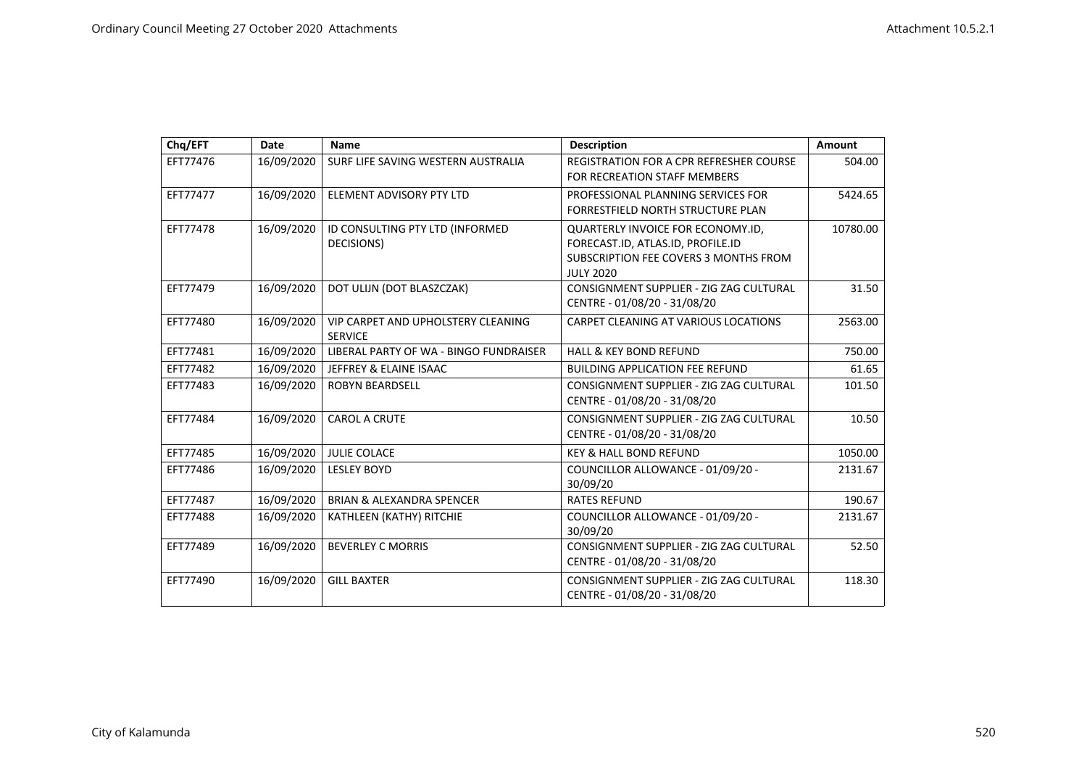| Chq/EFT  | Date       | <b>Name</b>                                                 | <b>Description</b>                                                                                                                  | <b>Amount</b> |
|----------|------------|-------------------------------------------------------------|-------------------------------------------------------------------------------------------------------------------------------------|---------------|
| EFT77476 | 16/09/2020 | SURF LIFE SAVING WESTERN AUSTRALIA                          | <b>REGISTRATION FOR A CPR REFRESHER COURSE</b><br>FOR RECREATION STAFF MEMBERS                                                      | 504.00        |
| EFT77477 | 16/09/2020 | ELEMENT ADVISORY PTY LTD                                    | PROFESSIONAL PLANNING SERVICES FOR<br>FORRESTFIELD NORTH STRUCTURE PLAN                                                             | 5424.65       |
| EFT77478 | 16/09/2020 | ID CONSULTING PTY LTD (INFORMED<br>DECISIONS)               | QUARTERLY INVOICE FOR ECONOMY.ID,<br>FORECAST.ID, ATLAS.ID, PROFILE.ID<br>SUBSCRIPTION FEE COVERS 3 MONTHS FROM<br><b>JULY 2020</b> | 10780.00      |
| EFT77479 | 16/09/2020 | DOT ULIJN (DOT BLASZCZAK)                                   | CONSIGNMENT SUPPLIER - ZIG ZAG CULTURAL<br>CENTRE - 01/08/20 - 31/08/20                                                             | 31.50         |
| EFT77480 | 16/09/2020 | <b>VIP CARPET AND UPHOLSTERY CLEANING</b><br><b>SERVICE</b> | CARPET CLEANING AT VARIOUS LOCATIONS                                                                                                | 2563.00       |
| EFT77481 | 16/09/2020 | LIBERAL PARTY OF WA - BINGO FUNDRAISER                      | <b>HALL &amp; KEY BOND REFUND</b>                                                                                                   | 750.00        |
| EFT77482 | 16/09/2020 | JEFFREY & ELAINE ISAAC                                      | <b>BUILDING APPLICATION FEE REFUND</b>                                                                                              | 61.65         |
| EFT77483 | 16/09/2020 | <b>ROBYN BEARDSELL</b>                                      | CONSIGNMENT SUPPLIER - ZIG ZAG CULTURAL<br>CENTRE - 01/08/20 - 31/08/20                                                             | 101.50        |
| EFT77484 | 16/09/2020 | <b>CAROL A CRUTE</b>                                        | CONSIGNMENT SUPPLIER - ZIG ZAG CULTURAL<br>CENTRE - 01/08/20 - 31/08/20                                                             | 10.50         |
| EFT77485 | 16/09/2020 | <b>JULIE COLACE</b>                                         | <b>KEY &amp; HALL BOND REFUND</b>                                                                                                   | 1050.00       |
| EFT77486 | 16/09/2020 | <b>LESLEY BOYD</b>                                          | COUNCILLOR ALLOWANCE - 01/09/20 -<br>30/09/20                                                                                       | 2131.67       |
| EFT77487 | 16/09/2020 | <b>BRIAN &amp; ALEXANDRA SPENCER</b>                        | <b>RATES REFUND</b>                                                                                                                 | 190.67        |
| EFT77488 | 16/09/2020 | KATHLEEN (KATHY) RITCHIE                                    | COUNCILLOR ALLOWANCE - 01/09/20 -<br>30/09/20                                                                                       | 2131.67       |
| EFT77489 | 16/09/2020 | <b>BEVERLEY C MORRIS</b>                                    | CONSIGNMENT SUPPLIER - ZIG ZAG CULTURAL<br>CENTRE - 01/08/20 - 31/08/20                                                             | 52.50         |
| EFT77490 | 16/09/2020 | <b>GILL BAXTER</b>                                          | CONSIGNMENT SUPPLIER - ZIG ZAG CULTURAL<br>CENTRE - 01/08/20 - 31/08/20                                                             | 118.30        |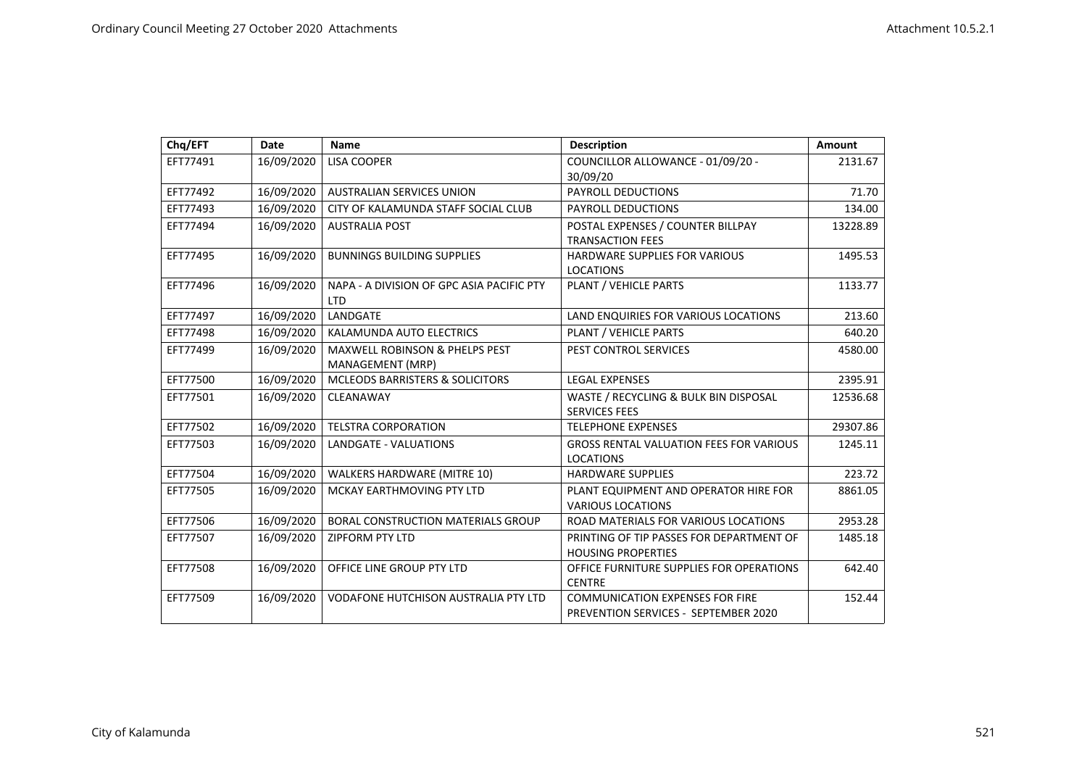| Chq/EFT  | <b>Date</b> | <b>Name</b>                                                   | <b>Description</b>                                                             | <b>Amount</b> |
|----------|-------------|---------------------------------------------------------------|--------------------------------------------------------------------------------|---------------|
| EFT77491 | 16/09/2020  | <b>LISA COOPER</b>                                            | COUNCILLOR ALLOWANCE - 01/09/20 -<br>30/09/20                                  | 2131.67       |
| EFT77492 | 16/09/2020  | <b>AUSTRALIAN SERVICES UNION</b>                              | PAYROLL DEDUCTIONS                                                             | 71.70         |
| EFT77493 | 16/09/2020  | CITY OF KALAMUNDA STAFF SOCIAL CLUB                           | PAYROLL DEDUCTIONS                                                             | 134.00        |
| EFT77494 | 16/09/2020  | <b>AUSTRALIA POST</b>                                         | POSTAL EXPENSES / COUNTER BILLPAY<br><b>TRANSACTION FEES</b>                   | 13228.89      |
| EFT77495 | 16/09/2020  | <b>BUNNINGS BUILDING SUPPLIES</b>                             | HARDWARE SUPPLIES FOR VARIOUS<br><b>LOCATIONS</b>                              | 1495.53       |
| EFT77496 | 16/09/2020  | NAPA - A DIVISION OF GPC ASIA PACIFIC PTY<br><b>LTD</b>       | PLANT / VEHICLE PARTS                                                          | 1133.77       |
| EFT77497 | 16/09/2020  | LANDGATE                                                      | LAND ENQUIRIES FOR VARIOUS LOCATIONS                                           | 213.60        |
| EFT77498 | 16/09/2020  | KALAMUNDA AUTO ELECTRICS                                      | PLANT / VEHICLE PARTS                                                          | 640.20        |
| EFT77499 | 16/09/2020  | <b>MAXWELL ROBINSON &amp; PHELPS PEST</b><br>MANAGEMENT (MRP) | PEST CONTROL SERVICES                                                          | 4580.00       |
| EFT77500 | 16/09/2020  | <b>MCLEODS BARRISTERS &amp; SOLICITORS</b>                    | <b>LEGAL EXPENSES</b>                                                          | 2395.91       |
| EFT77501 | 16/09/2020  | CLEANAWAY                                                     | WASTE / RECYCLING & BULK BIN DISPOSAL<br><b>SERVICES FEES</b>                  | 12536.68      |
| EFT77502 | 16/09/2020  | <b>TELSTRA CORPORATION</b>                                    | <b>TELEPHONE EXPENSES</b>                                                      | 29307.86      |
| EFT77503 | 16/09/2020  | LANDGATE - VALUATIONS                                         | <b>GROSS RENTAL VALUATION FEES FOR VARIOUS</b><br><b>LOCATIONS</b>             | 1245.11       |
| EFT77504 | 16/09/2020  | <b>WALKERS HARDWARE (MITRE 10)</b>                            | <b>HARDWARE SUPPLIES</b>                                                       | 223.72        |
| EFT77505 | 16/09/2020  | MCKAY EARTHMOVING PTY LTD                                     | PLANT EQUIPMENT AND OPERATOR HIRE FOR<br><b>VARIOUS LOCATIONS</b>              | 8861.05       |
| EFT77506 | 16/09/2020  | <b>BORAL CONSTRUCTION MATERIALS GROUP</b>                     | ROAD MATERIALS FOR VARIOUS LOCATIONS                                           | 2953.28       |
| EFT77507 | 16/09/2020  | <b>ZIPFORM PTY LTD</b>                                        | PRINTING OF TIP PASSES FOR DEPARTMENT OF<br><b>HOUSING PROPERTIES</b>          | 1485.18       |
| EFT77508 | 16/09/2020  | OFFICE LINE GROUP PTY LTD                                     | OFFICE FURNITURE SUPPLIES FOR OPERATIONS<br><b>CENTRE</b>                      | 642.40        |
| EFT77509 | 16/09/2020  | VODAFONE HUTCHISON AUSTRALIA PTY LTD                          | <b>COMMUNICATION EXPENSES FOR FIRE</b><br>PREVENTION SERVICES - SEPTEMBER 2020 | 152.44        |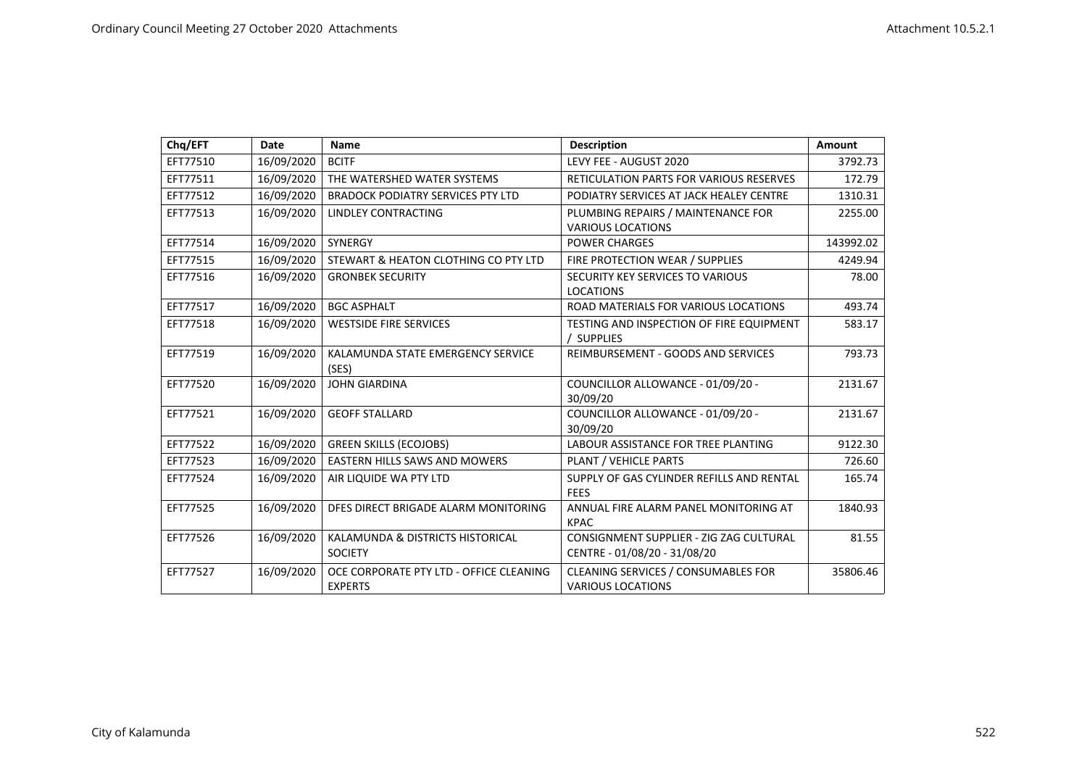| Chq/EFT  | Date       | <b>Name</b>                                | <b>Description</b>                                       | <b>Amount</b> |
|----------|------------|--------------------------------------------|----------------------------------------------------------|---------------|
| EFT77510 | 16/09/2020 | <b>BCITF</b>                               | LEVY FEE - AUGUST 2020                                   | 3792.73       |
| EFT77511 | 16/09/2020 | THE WATERSHED WATER SYSTEMS                | <b>RETICULATION PARTS FOR VARIOUS RESERVES</b>           | 172.79        |
| EFT77512 | 16/09/2020 | <b>BRADOCK PODIATRY SERVICES PTY LTD</b>   | PODIATRY SERVICES AT JACK HEALEY CENTRE                  | 1310.31       |
| EFT77513 | 16/09/2020 | LINDLEY CONTRACTING                        | PLUMBING REPAIRS / MAINTENANCE FOR                       | 2255.00       |
|          |            |                                            | <b>VARIOUS LOCATIONS</b>                                 |               |
| EFT77514 | 16/09/2020 | SYNERGY                                    | <b>POWER CHARGES</b>                                     | 143992.02     |
| EFT77515 | 16/09/2020 | STEWART & HEATON CLOTHING CO PTY LTD       | FIRE PROTECTION WEAR / SUPPLIES                          | 4249.94       |
| EFT77516 | 16/09/2020 | <b>GRONBEK SECURITY</b>                    | SECURITY KEY SERVICES TO VARIOUS                         | 78.00         |
|          |            |                                            | <b>LOCATIONS</b>                                         |               |
| EFT77517 | 16/09/2020 | <b>BGC ASPHALT</b>                         | ROAD MATERIALS FOR VARIOUS LOCATIONS                     | 493.74        |
| EFT77518 | 16/09/2020 | <b>WESTSIDE FIRE SERVICES</b>              | TESTING AND INSPECTION OF FIRE EQUIPMENT                 | 583.17        |
|          |            |                                            | / SUPPLIES                                               |               |
| EFT77519 | 16/09/2020 | KALAMUNDA STATE EMERGENCY SERVICE<br>(SES) | REIMBURSEMENT - GOODS AND SERVICES                       | 793.73        |
| EFT77520 | 16/09/2020 | <b>JOHN GIARDINA</b>                       | COUNCILLOR ALLOWANCE - 01/09/20 -                        | 2131.67       |
|          |            |                                            | 30/09/20                                                 |               |
| EFT77521 | 16/09/2020 | <b>GEOFF STALLARD</b>                      | COUNCILLOR ALLOWANCE - 01/09/20 -<br>30/09/20            | 2131.67       |
| EFT77522 | 16/09/2020 | <b>GREEN SKILLS (ECOJOBS)</b>              | LABOUR ASSISTANCE FOR TREE PLANTING                      | 9122.30       |
| EFT77523 | 16/09/2020 | <b>EASTERN HILLS SAWS AND MOWERS</b>       | <b>PLANT / VEHICLE PARTS</b>                             | 726.60        |
| EFT77524 | 16/09/2020 | AIR LIQUIDE WA PTY LTD                     | SUPPLY OF GAS CYLINDER REFILLS AND RENTAL<br><b>FEES</b> | 165.74        |
| EFT77525 | 16/09/2020 | DFES DIRECT BRIGADE ALARM MONITORING       | ANNUAL FIRE ALARM PANEL MONITORING AT                    | 1840.93       |
|          |            |                                            | <b>KPAC</b>                                              |               |
| EFT77526 | 16/09/2020 | KALAMUNDA & DISTRICTS HISTORICAL           | CONSIGNMENT SUPPLIER - ZIG ZAG CULTURAL                  | 81.55         |
|          |            | <b>SOCIETY</b>                             | CENTRE - 01/08/20 - 31/08/20                             |               |
| EFT77527 | 16/09/2020 | OCE CORPORATE PTY LTD - OFFICE CLEANING    | <b>CLEANING SERVICES / CONSUMABLES FOR</b>               | 35806.46      |
|          |            | <b>EXPERTS</b>                             | <b>VARIOUS LOCATIONS</b>                                 |               |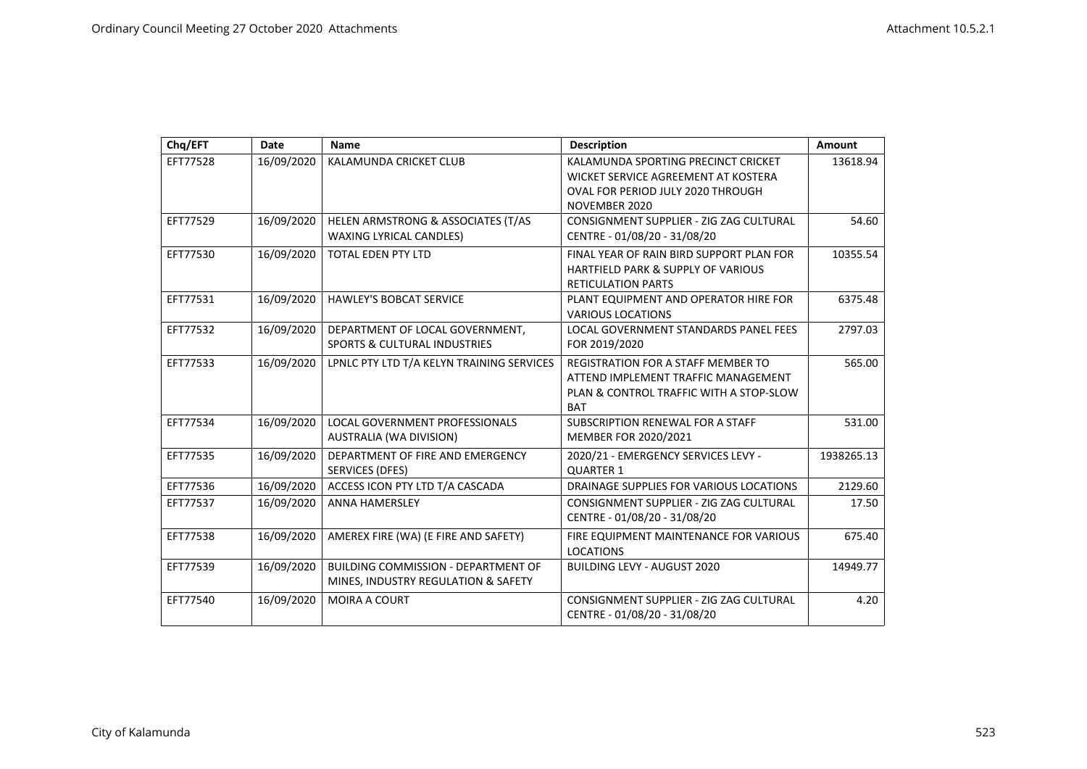| Chq/EFT  | Date       | <b>Name</b>                                                                       | <b>Description</b>                                                                                                                        | <b>Amount</b> |
|----------|------------|-----------------------------------------------------------------------------------|-------------------------------------------------------------------------------------------------------------------------------------------|---------------|
| EFT77528 | 16/09/2020 | KALAMUNDA CRICKET CLUB                                                            | KALAMUNDA SPORTING PRECINCT CRICKET<br>WICKET SERVICE AGREEMENT AT KOSTERA<br>OVAL FOR PERIOD JULY 2020 THROUGH<br>NOVEMBER 2020          | 13618.94      |
| EFT77529 | 16/09/2020 | HELEN ARMSTRONG & ASSOCIATES (T/AS<br><b>WAXING LYRICAL CANDLES)</b>              | CONSIGNMENT SUPPLIER - ZIG ZAG CULTURAL<br>CENTRE - 01/08/20 - 31/08/20                                                                   | 54.60         |
| EFT77530 | 16/09/2020 | <b>TOTAL EDEN PTY LTD</b>                                                         | FINAL YEAR OF RAIN BIRD SUPPORT PLAN FOR<br><b>HARTFIELD PARK &amp; SUPPLY OF VARIOUS</b><br><b>RETICULATION PARTS</b>                    | 10355.54      |
| EFT77531 | 16/09/2020 | <b>HAWLEY'S BOBCAT SERVICE</b>                                                    | PLANT EQUIPMENT AND OPERATOR HIRE FOR<br><b>VARIOUS LOCATIONS</b>                                                                         | 6375.48       |
| EFT77532 | 16/09/2020 | DEPARTMENT OF LOCAL GOVERNMENT,<br><b>SPORTS &amp; CULTURAL INDUSTRIES</b>        | LOCAL GOVERNMENT STANDARDS PANEL FEES<br>FOR 2019/2020                                                                                    | 2797.03       |
| EFT77533 | 16/09/2020 | LPNLC PTY LTD T/A KELYN TRAINING SERVICES                                         | <b>REGISTRATION FOR A STAFF MEMBER TO</b><br>ATTEND IMPLEMENT TRAFFIC MANAGEMENT<br>PLAN & CONTROL TRAFFIC WITH A STOP-SLOW<br><b>BAT</b> | 565.00        |
| EFT77534 | 16/09/2020 | LOCAL GOVERNMENT PROFESSIONALS<br>AUSTRALIA (WA DIVISION)                         | SUBSCRIPTION RENEWAL FOR A STAFF<br>MEMBER FOR 2020/2021                                                                                  | 531.00        |
| EFT77535 | 16/09/2020 | DEPARTMENT OF FIRE AND EMERGENCY<br>SERVICES (DFES)                               | 2020/21 - EMERGENCY SERVICES LEVY -<br><b>QUARTER 1</b>                                                                                   | 1938265.13    |
| EFT77536 | 16/09/2020 | ACCESS ICON PTY LTD T/A CASCADA                                                   | DRAINAGE SUPPLIES FOR VARIOUS LOCATIONS                                                                                                   | 2129.60       |
| EFT77537 | 16/09/2020 | <b>ANNA HAMERSLEY</b>                                                             | CONSIGNMENT SUPPLIER - ZIG ZAG CULTURAL<br>CENTRE - 01/08/20 - 31/08/20                                                                   | 17.50         |
| EFT77538 | 16/09/2020 | AMEREX FIRE (WA) (E FIRE AND SAFETY)                                              | FIRE EQUIPMENT MAINTENANCE FOR VARIOUS<br><b>LOCATIONS</b>                                                                                | 675.40        |
| EFT77539 | 16/09/2020 | <b>BUILDING COMMISSION - DEPARTMENT OF</b><br>MINES, INDUSTRY REGULATION & SAFETY | <b>BUILDING LEVY - AUGUST 2020</b>                                                                                                        | 14949.77      |
| EFT77540 | 16/09/2020 | MOIRA A COURT                                                                     | CONSIGNMENT SUPPLIER - ZIG ZAG CULTURAL<br>CENTRE - 01/08/20 - 31/08/20                                                                   | 4.20          |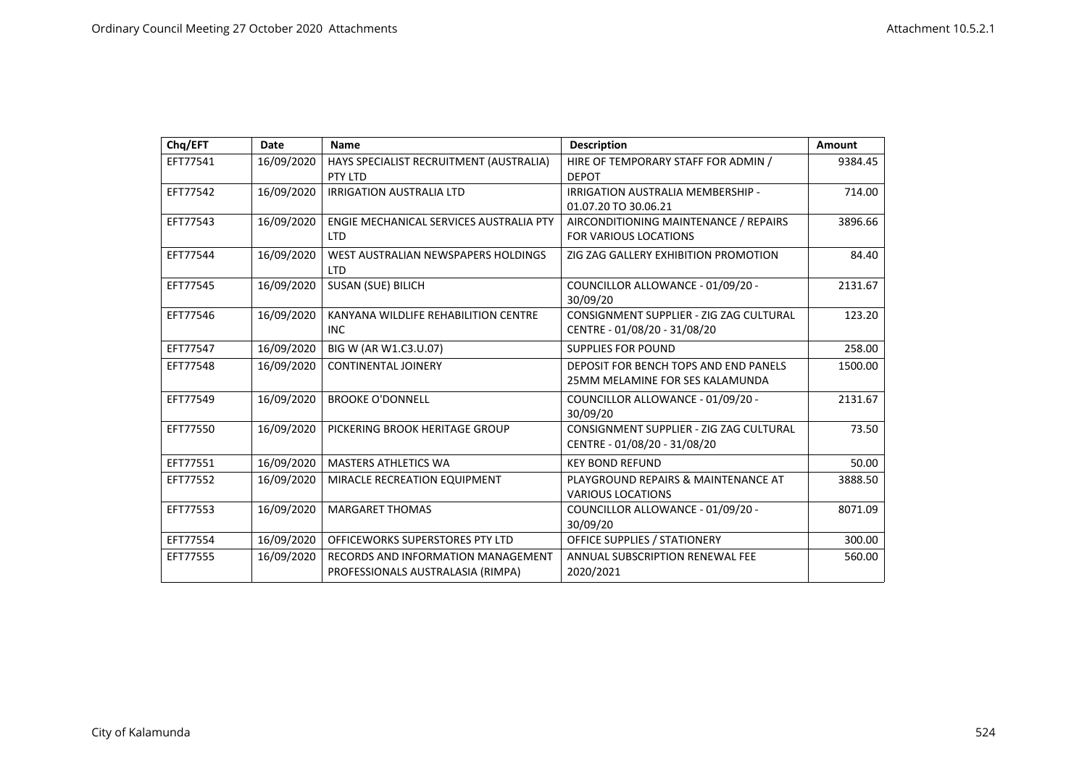| Chq/EFT  | <b>Date</b> | <b>Name</b>                                       | <b>Description</b>                            | Amount  |
|----------|-------------|---------------------------------------------------|-----------------------------------------------|---------|
| EFT77541 | 16/09/2020  | HAYS SPECIALIST RECRUITMENT (AUSTRALIA)           | HIRE OF TEMPORARY STAFF FOR ADMIN /           | 9384.45 |
|          |             | PTY LTD                                           | <b>DEPOT</b>                                  |         |
| EFT77542 | 16/09/2020  | <b>IRRIGATION AUSTRALIA LTD</b>                   | IRRIGATION AUSTRALIA MEMBERSHIP -             | 714.00  |
|          |             |                                                   | 01.07.20 TO 30.06.21                          |         |
| EFT77543 | 16/09/2020  | ENGIE MECHANICAL SERVICES AUSTRALIA PTY           | AIRCONDITIONING MAINTENANCE / REPAIRS         | 3896.66 |
|          |             | <b>LTD</b>                                        | <b>FOR VARIOUS LOCATIONS</b>                  |         |
| EFT77544 | 16/09/2020  | WEST AUSTRALIAN NEWSPAPERS HOLDINGS<br><b>LTD</b> | ZIG ZAG GALLERY EXHIBITION PROMOTION          | 84.40   |
| EFT77545 | 16/09/2020  | SUSAN (SUE) BILICH                                | COUNCILLOR ALLOWANCE - 01/09/20 -<br>30/09/20 | 2131.67 |
| EFT77546 | 16/09/2020  | KANYANA WILDLIFE REHABILITION CENTRE              | CONSIGNMENT SUPPLIER - ZIG ZAG CULTURAL       | 123.20  |
|          |             | <b>INC</b>                                        | CENTRE - 01/08/20 - 31/08/20                  |         |
| EFT77547 | 16/09/2020  | BIG W (AR W1.C3.U.07)                             | <b>SUPPLIES FOR POUND</b>                     | 258.00  |
| EFT77548 | 16/09/2020  | <b>CONTINENTAL JOINERY</b>                        | DEPOSIT FOR BENCH TOPS AND END PANELS         | 1500.00 |
|          |             |                                                   | 25MM MELAMINE FOR SES KALAMUNDA               |         |
| EFT77549 | 16/09/2020  | <b>BROOKE O'DONNELL</b>                           | COUNCILLOR ALLOWANCE - 01/09/20 -             | 2131.67 |
|          |             |                                                   | 30/09/20                                      |         |
| EFT77550 | 16/09/2020  | PICKERING BROOK HERITAGE GROUP                    | CONSIGNMENT SUPPLIER - ZIG ZAG CULTURAL       | 73.50   |
|          |             |                                                   | CENTRE - 01/08/20 - 31/08/20                  |         |
| EFT77551 | 16/09/2020  | <b>MASTERS ATHLETICS WA</b>                       | <b>KEY BOND REFUND</b>                        | 50.00   |
| EFT77552 | 16/09/2020  | MIRACLE RECREATION EQUIPMENT                      | PLAYGROUND REPAIRS & MAINTENANCE AT           | 3888.50 |
|          |             |                                                   | <b>VARIOUS LOCATIONS</b>                      |         |
| EFT77553 | 16/09/2020  | <b>MARGARET THOMAS</b>                            | COUNCILLOR ALLOWANCE - 01/09/20 -             | 8071.09 |
|          |             |                                                   | 30/09/20                                      |         |
| EFT77554 | 16/09/2020  | OFFICEWORKS SUPERSTORES PTY LTD                   | <b>OFFICE SUPPLIES / STATIONERY</b>           | 300.00  |
| EFT77555 | 16/09/2020  | <b>RECORDS AND INFORMATION MANAGEMENT</b>         | ANNUAL SUBSCRIPTION RENEWAL FEE               | 560.00  |
|          |             | PROFESSIONALS AUSTRALASIA (RIMPA)                 | 2020/2021                                     |         |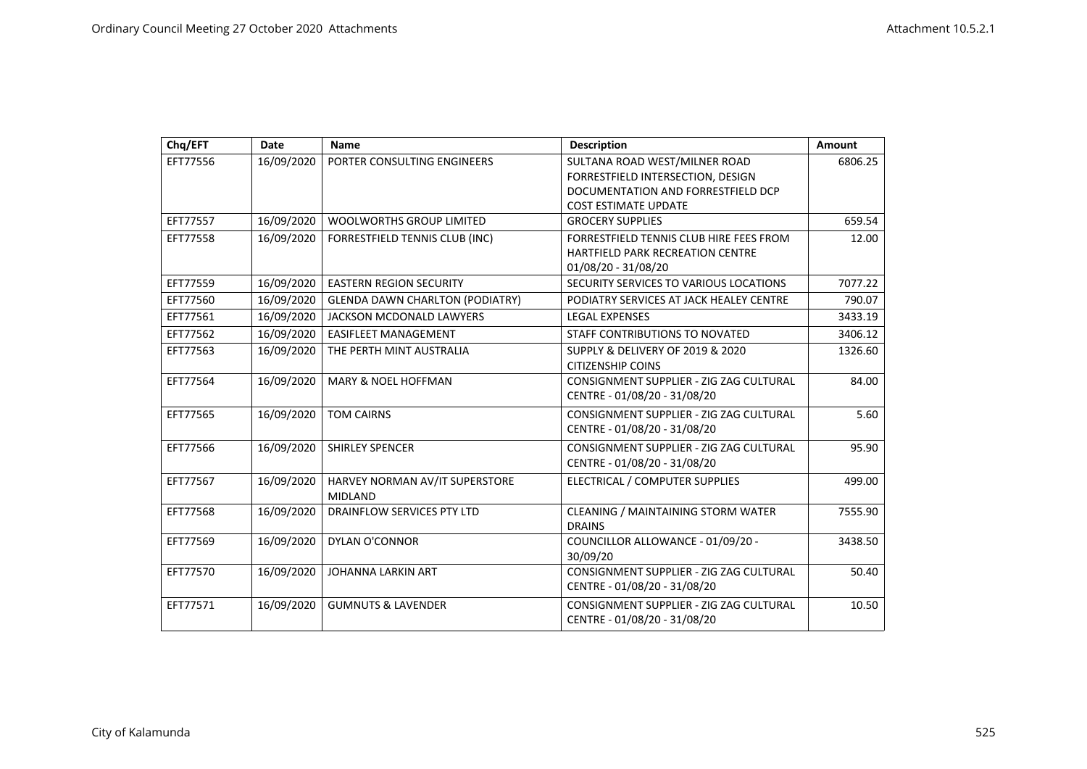| Chq/EFT  | Date       | <b>Name</b>                            | <b>Description</b>                              | Amount  |
|----------|------------|----------------------------------------|-------------------------------------------------|---------|
| EFT77556 | 16/09/2020 | PORTER CONSULTING ENGINEERS            | SULTANA ROAD WEST/MILNER ROAD                   | 6806.25 |
|          |            |                                        | FORRESTFIELD INTERSECTION, DESIGN               |         |
|          |            |                                        | DOCUMENTATION AND FORRESTFIELD DCP              |         |
|          |            |                                        | <b>COST ESTIMATE UPDATE</b>                     |         |
| EFT77557 | 16/09/2020 | <b>WOOLWORTHS GROUP LIMITED</b>        | <b>GROCERY SUPPLIES</b>                         | 659.54  |
| EFT77558 | 16/09/2020 | FORRESTFIELD TENNIS CLUB (INC)         | FORRESTFIELD TENNIS CLUB HIRE FEES FROM         | 12.00   |
|          |            |                                        | <b>HARTFIELD PARK RECREATION CENTRE</b>         |         |
|          |            |                                        | 01/08/20 - 31/08/20                             |         |
| EFT77559 | 16/09/2020 | <b>EASTERN REGION SECURITY</b>         | SECURITY SERVICES TO VARIOUS LOCATIONS          | 7077.22 |
| EFT77560 | 16/09/2020 | <b>GLENDA DAWN CHARLTON (PODIATRY)</b> | PODIATRY SERVICES AT JACK HEALEY CENTRE         | 790.07  |
| EFT77561 | 16/09/2020 | <b>JACKSON MCDONALD LAWYERS</b>        | <b>LEGAL EXPENSES</b>                           | 3433.19 |
| EFT77562 | 16/09/2020 | <b>EASIFLEET MANAGEMENT</b>            | STAFF CONTRIBUTIONS TO NOVATED                  | 3406.12 |
| EFT77563 | 16/09/2020 | THE PERTH MINT AUSTRALIA               | <b>SUPPLY &amp; DELIVERY OF 2019 &amp; 2020</b> | 1326.60 |
|          |            |                                        | <b>CITIZENSHIP COINS</b>                        |         |
| EFT77564 | 16/09/2020 | <b>MARY &amp; NOEL HOFFMAN</b>         | CONSIGNMENT SUPPLIER - ZIG ZAG CULTURAL         | 84.00   |
|          |            |                                        | CENTRE - 01/08/20 - 31/08/20                    |         |
| EFT77565 | 16/09/2020 | <b>TOM CAIRNS</b>                      | CONSIGNMENT SUPPLIER - ZIG ZAG CULTURAL         | 5.60    |
|          |            |                                        | CENTRE - 01/08/20 - 31/08/20                    |         |
| EFT77566 | 16/09/2020 | <b>SHIRLEY SPENCER</b>                 | CONSIGNMENT SUPPLIER - ZIG ZAG CULTURAL         | 95.90   |
|          |            |                                        | CENTRE - 01/08/20 - 31/08/20                    |         |
| EFT77567 | 16/09/2020 | HARVEY NORMAN AV/IT SUPERSTORE         | ELECTRICAL / COMPUTER SUPPLIES                  | 499.00  |
|          |            | <b>MIDLAND</b>                         |                                                 |         |
| EFT77568 | 16/09/2020 | <b>DRAINFLOW SERVICES PTY LTD</b>      | <b>CLEANING / MAINTAINING STORM WATER</b>       | 7555.90 |
|          |            |                                        | <b>DRAINS</b>                                   |         |
| EFT77569 | 16/09/2020 | <b>DYLAN O'CONNOR</b>                  | COUNCILLOR ALLOWANCE - 01/09/20 -               | 3438.50 |
|          |            |                                        | 30/09/20                                        |         |
| EFT77570 | 16/09/2020 | <b>JOHANNA LARKIN ART</b>              | CONSIGNMENT SUPPLIER - ZIG ZAG CULTURAL         | 50.40   |
|          |            |                                        | CENTRE - 01/08/20 - 31/08/20                    |         |
| EFT77571 | 16/09/2020 | <b>GUMNUTS &amp; LAVENDER</b>          | CONSIGNMENT SUPPLIER - ZIG ZAG CULTURAL         | 10.50   |
|          |            |                                        | CENTRE - 01/08/20 - 31/08/20                    |         |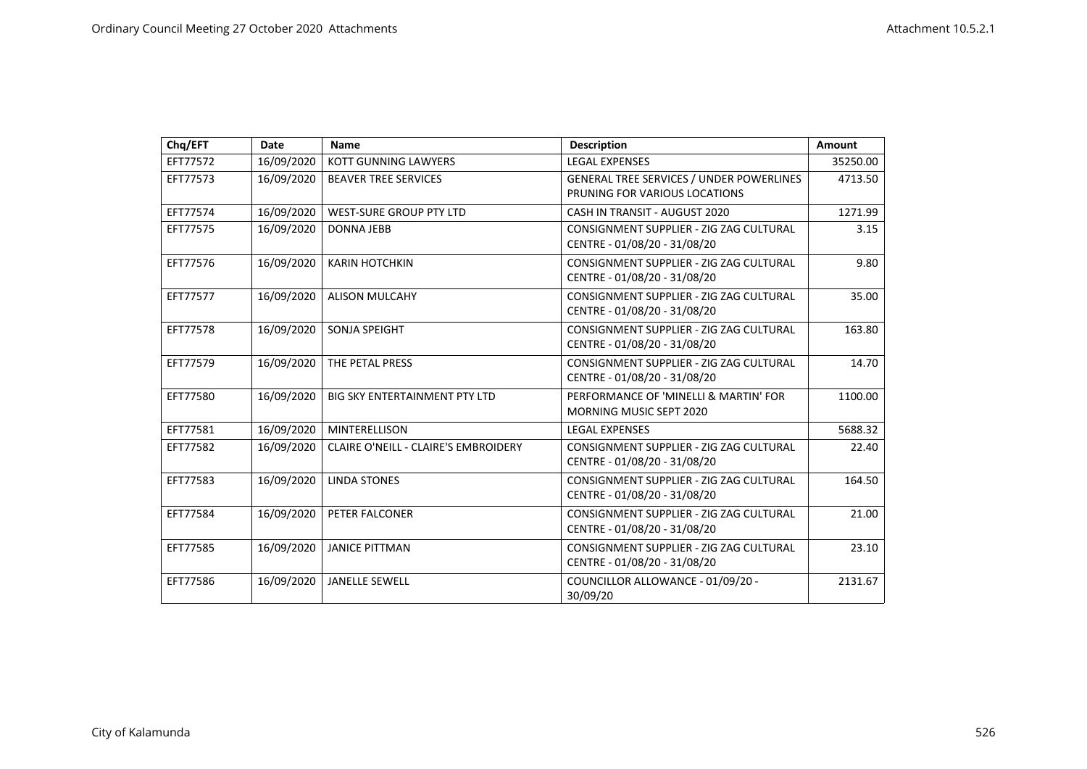| Chq/EFT  | <b>Date</b> | <b>Name</b>                                 | <b>Description</b>                                                               | Amount   |
|----------|-------------|---------------------------------------------|----------------------------------------------------------------------------------|----------|
| EFT77572 | 16/09/2020  | <b>KOTT GUNNING LAWYERS</b>                 | <b>LEGAL EXPENSES</b>                                                            | 35250.00 |
| EFT77573 | 16/09/2020  | <b>BEAVER TREE SERVICES</b>                 | <b>GENERAL TREE SERVICES / UNDER POWERLINES</b><br>PRUNING FOR VARIOUS LOCATIONS | 4713.50  |
| EFT77574 | 16/09/2020  | <b>WEST-SURE GROUP PTY LTD</b>              | CASH IN TRANSIT - AUGUST 2020                                                    | 1271.99  |
| EFT77575 | 16/09/2020  | <b>DONNA JEBB</b>                           | CONSIGNMENT SUPPLIER - ZIG ZAG CULTURAL<br>CENTRE - 01/08/20 - 31/08/20          | 3.15     |
| EFT77576 | 16/09/2020  | <b>KARIN HOTCHKIN</b>                       | CONSIGNMENT SUPPLIER - ZIG ZAG CULTURAL<br>CENTRE - 01/08/20 - 31/08/20          | 9.80     |
| EFT77577 | 16/09/2020  | <b>ALISON MULCAHY</b>                       | CONSIGNMENT SUPPLIER - ZIG ZAG CULTURAL<br>CENTRE - 01/08/20 - 31/08/20          | 35.00    |
| EFT77578 | 16/09/2020  | SONJA SPEIGHT                               | CONSIGNMENT SUPPLIER - ZIG ZAG CULTURAL<br>CENTRE - 01/08/20 - 31/08/20          | 163.80   |
| EFT77579 | 16/09/2020  | THE PETAL PRESS                             | CONSIGNMENT SUPPLIER - ZIG ZAG CULTURAL<br>CENTRE - 01/08/20 - 31/08/20          | 14.70    |
| EFT77580 | 16/09/2020  | <b>BIG SKY ENTERTAINMENT PTY LTD</b>        | PERFORMANCE OF 'MINELLI & MARTIN' FOR<br><b>MORNING MUSIC SEPT 2020</b>          | 1100.00  |
| EFT77581 | 16/09/2020  | <b>MINTERELLISON</b>                        | <b>LEGAL EXPENSES</b>                                                            | 5688.32  |
| EFT77582 | 16/09/2020  | <b>CLAIRE O'NEILL - CLAIRE'S EMBROIDERY</b> | CONSIGNMENT SUPPLIER - ZIG ZAG CULTURAL<br>CENTRE - 01/08/20 - 31/08/20          | 22.40    |
| EFT77583 | 16/09/2020  | <b>LINDA STONES</b>                         | CONSIGNMENT SUPPLIER - ZIG ZAG CULTURAL<br>CENTRE - 01/08/20 - 31/08/20          | 164.50   |
| EFT77584 | 16/09/2020  | PETER FALCONER                              | CONSIGNMENT SUPPLIER - ZIG ZAG CULTURAL<br>CENTRE - 01/08/20 - 31/08/20          | 21.00    |
| EFT77585 | 16/09/2020  | <b>JANICE PITTMAN</b>                       | CONSIGNMENT SUPPLIER - ZIG ZAG CULTURAL<br>CENTRE - 01/08/20 - 31/08/20          | 23.10    |
| EFT77586 | 16/09/2020  | <b>JANELLE SEWELL</b>                       | COUNCILLOR ALLOWANCE - 01/09/20 -<br>30/09/20                                    | 2131.67  |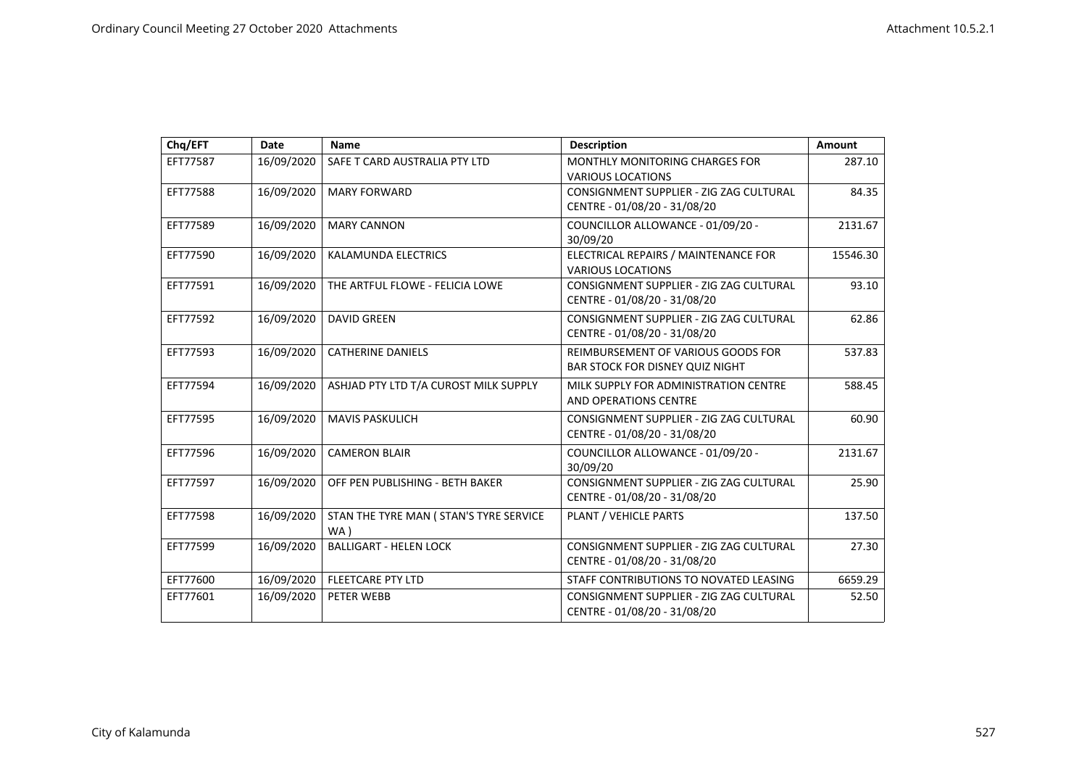| Chq/EFT  | <b>Date</b> | <b>Name</b>                                    | <b>Description</b>                                                           | <b>Amount</b> |
|----------|-------------|------------------------------------------------|------------------------------------------------------------------------------|---------------|
| EFT77587 | 16/09/2020  | SAFE T CARD AUSTRALIA PTY LTD                  | MONTHLY MONITORING CHARGES FOR<br><b>VARIOUS LOCATIONS</b>                   | 287.10        |
| EFT77588 | 16/09/2020  | <b>MARY FORWARD</b>                            | CONSIGNMENT SUPPLIER - ZIG ZAG CULTURAL<br>CENTRE - 01/08/20 - 31/08/20      | 84.35         |
| EFT77589 | 16/09/2020  | <b>MARY CANNON</b>                             | COUNCILLOR ALLOWANCE - 01/09/20 -<br>30/09/20                                | 2131.67       |
| EFT77590 | 16/09/2020  | KALAMUNDA ELECTRICS                            | ELECTRICAL REPAIRS / MAINTENANCE FOR<br><b>VARIOUS LOCATIONS</b>             | 15546.30      |
| EFT77591 | 16/09/2020  | THE ARTFUL FLOWE - FELICIA LOWE                | CONSIGNMENT SUPPLIER - ZIG ZAG CULTURAL<br>CENTRE - 01/08/20 - 31/08/20      | 93.10         |
| EFT77592 | 16/09/2020  | <b>DAVID GREEN</b>                             | CONSIGNMENT SUPPLIER - ZIG ZAG CULTURAL<br>CENTRE - 01/08/20 - 31/08/20      | 62.86         |
| EFT77593 | 16/09/2020  | <b>CATHERINE DANIELS</b>                       | REIMBURSEMENT OF VARIOUS GOODS FOR<br><b>BAR STOCK FOR DISNEY QUIZ NIGHT</b> | 537.83        |
| EFT77594 | 16/09/2020  | ASHJAD PTY LTD T/A CUROST MILK SUPPLY          | MILK SUPPLY FOR ADMINISTRATION CENTRE<br><b>AND OPERATIONS CENTRE</b>        | 588.45        |
| EFT77595 | 16/09/2020  | <b>MAVIS PASKULICH</b>                         | CONSIGNMENT SUPPLIER - ZIG ZAG CULTURAL<br>CENTRE - 01/08/20 - 31/08/20      | 60.90         |
| EFT77596 | 16/09/2020  | <b>CAMERON BLAIR</b>                           | COUNCILLOR ALLOWANCE - 01/09/20 -<br>30/09/20                                | 2131.67       |
| EFT77597 | 16/09/2020  | OFF PEN PUBLISHING - BETH BAKER                | CONSIGNMENT SUPPLIER - ZIG ZAG CULTURAL<br>CENTRE - 01/08/20 - 31/08/20      | 25.90         |
| EFT77598 | 16/09/2020  | STAN THE TYRE MAN ( STAN'S TYRE SERVICE<br>WA) | PLANT / VEHICLE PARTS                                                        | 137.50        |
| EFT77599 | 16/09/2020  | <b>BALLIGART - HELEN LOCK</b>                  | CONSIGNMENT SUPPLIER - ZIG ZAG CULTURAL<br>CENTRE - 01/08/20 - 31/08/20      | 27.30         |
| EFT77600 | 16/09/2020  | <b>FLEETCARE PTY LTD</b>                       | STAFF CONTRIBUTIONS TO NOVATED LEASING                                       | 6659.29       |
| EFT77601 | 16/09/2020  | PETER WEBB                                     | CONSIGNMENT SUPPLIER - ZIG ZAG CULTURAL<br>CENTRE - 01/08/20 - 31/08/20      | 52.50         |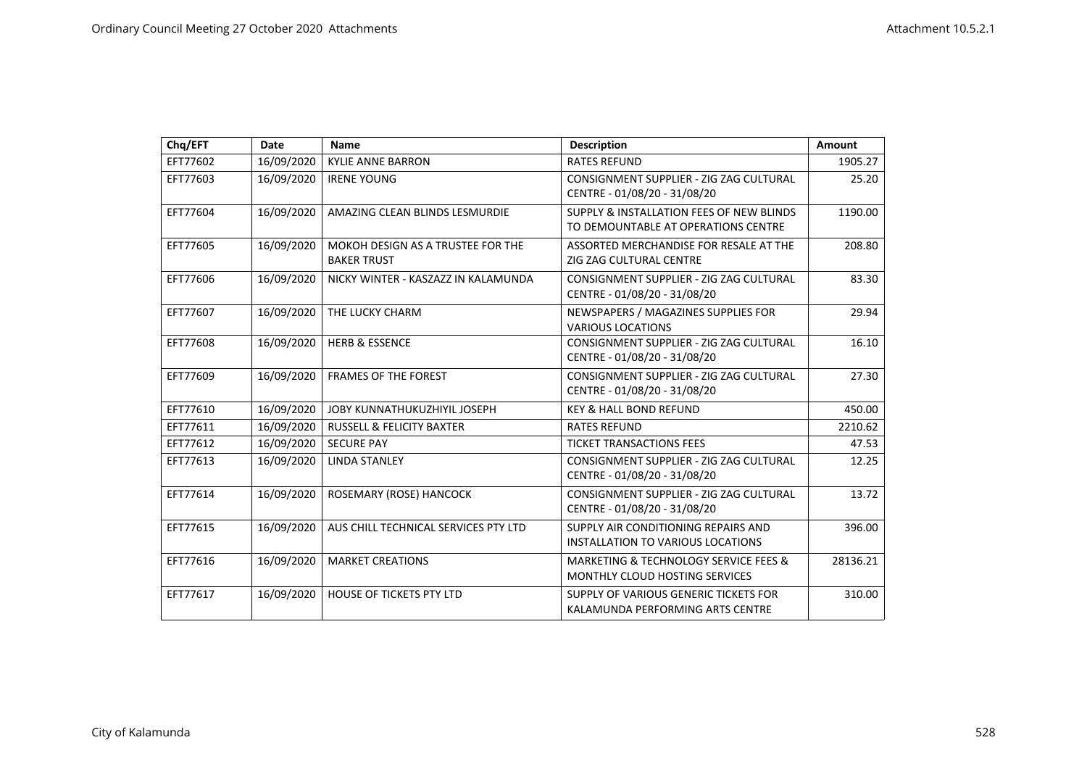| Chq/EFT  | Date       | <b>Name</b>                                             | <b>Description</b>                                                              | Amount   |
|----------|------------|---------------------------------------------------------|---------------------------------------------------------------------------------|----------|
| EFT77602 | 16/09/2020 | <b>KYLIE ANNE BARRON</b>                                | <b>RATES REFUND</b>                                                             | 1905.27  |
| EFT77603 | 16/09/2020 | <b>IRENE YOUNG</b>                                      | CONSIGNMENT SUPPLIER - ZIG ZAG CULTURAL<br>CENTRE - 01/08/20 - 31/08/20         | 25.20    |
| EFT77604 | 16/09/2020 | AMAZING CLEAN BLINDS LESMURDIE                          | SUPPLY & INSTALLATION FEES OF NEW BLINDS<br>TO DEMOUNTABLE AT OPERATIONS CENTRE | 1190.00  |
| EFT77605 | 16/09/2020 | MOKOH DESIGN AS A TRUSTEE FOR THE<br><b>BAKER TRUST</b> | ASSORTED MERCHANDISE FOR RESALE AT THE<br>ZIG ZAG CULTURAL CENTRE               | 208.80   |
| EFT77606 | 16/09/2020 | NICKY WINTER - KASZAZZ IN KALAMUNDA                     | CONSIGNMENT SUPPLIER - ZIG ZAG CULTURAL<br>CENTRE - 01/08/20 - 31/08/20         | 83.30    |
| EFT77607 | 16/09/2020 | THE LUCKY CHARM                                         | NEWSPAPERS / MAGAZINES SUPPLIES FOR<br><b>VARIOUS LOCATIONS</b>                 | 29.94    |
| EFT77608 | 16/09/2020 | <b>HERB &amp; ESSENCE</b>                               | CONSIGNMENT SUPPLIER - ZIG ZAG CULTURAL<br>CENTRE - 01/08/20 - 31/08/20         | 16.10    |
| EFT77609 | 16/09/2020 | <b>FRAMES OF THE FOREST</b>                             | CONSIGNMENT SUPPLIER - ZIG ZAG CULTURAL<br>CENTRE - 01/08/20 - 31/08/20         | 27.30    |
| EFT77610 | 16/09/2020 | JOBY KUNNATHUKUZHIYIL JOSEPH                            | <b>KEY &amp; HALL BOND REFUND</b>                                               | 450.00   |
| EFT77611 | 16/09/2020 | RUSSELL & FELICITY BAXTER                               | <b>RATES REFUND</b>                                                             | 2210.62  |
| EFT77612 | 16/09/2020 | <b>SECURE PAY</b>                                       | <b>TICKET TRANSACTIONS FEES</b>                                                 | 47.53    |
| EFT77613 | 16/09/2020 | <b>LINDA STANLEY</b>                                    | CONSIGNMENT SUPPLIER - ZIG ZAG CULTURAL<br>CENTRE - 01/08/20 - 31/08/20         | 12.25    |
| EFT77614 | 16/09/2020 | ROSEMARY (ROSE) HANCOCK                                 | CONSIGNMENT SUPPLIER - ZIG ZAG CULTURAL<br>CENTRE - 01/08/20 - 31/08/20         | 13.72    |
| EFT77615 | 16/09/2020 | AUS CHILL TECHNICAL SERVICES PTY LTD                    | SUPPLY AIR CONDITIONING REPAIRS AND<br>INSTALLATION TO VARIOUS LOCATIONS        | 396.00   |
| EFT77616 | 16/09/2020 | <b>MARKET CREATIONS</b>                                 | MARKETING & TECHNOLOGY SERVICE FEES &<br><b>MONTHLY CLOUD HOSTING SERVICES</b>  | 28136.21 |
| EFT77617 | 16/09/2020 | <b>HOUSE OF TICKETS PTY LTD</b>                         | SUPPLY OF VARIOUS GENERIC TICKETS FOR<br>KALAMUNDA PERFORMING ARTS CENTRE       | 310.00   |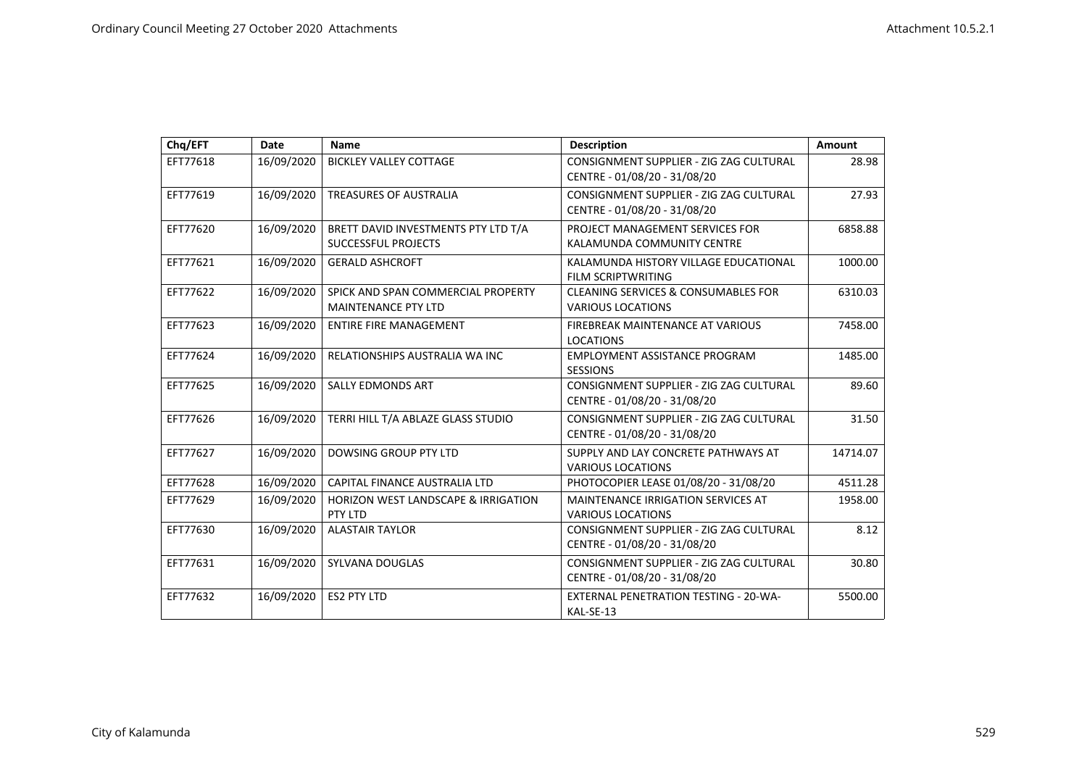| Chq/EFT  | <b>Date</b> | <b>Name</b>                                                       | <b>Description</b>                                                         | Amount   |
|----------|-------------|-------------------------------------------------------------------|----------------------------------------------------------------------------|----------|
| EFT77618 | 16/09/2020  | <b>BICKLEY VALLEY COTTAGE</b>                                     | CONSIGNMENT SUPPLIER - ZIG ZAG CULTURAL<br>CENTRE - 01/08/20 - 31/08/20    | 28.98    |
| EFT77619 | 16/09/2020  | TREASURES OF AUSTRALIA                                            | CONSIGNMENT SUPPLIER - ZIG ZAG CULTURAL<br>CENTRE - 01/08/20 - 31/08/20    | 27.93    |
| EFT77620 | 16/09/2020  | BRETT DAVID INVESTMENTS PTY LTD T/A<br><b>SUCCESSFUL PROJECTS</b> | PROJECT MANAGEMENT SERVICES FOR<br>KALAMUNDA COMMUNITY CENTRE              | 6858.88  |
| EFT77621 | 16/09/2020  | <b>GERALD ASHCROFT</b>                                            | KALAMUNDA HISTORY VILLAGE EDUCATIONAL<br><b>FILM SCRIPTWRITING</b>         | 1000.00  |
| EFT77622 | 16/09/2020  | SPICK AND SPAN COMMERCIAL PROPERTY<br><b>MAINTENANCE PTY LTD</b>  | <b>CLEANING SERVICES &amp; CONSUMABLES FOR</b><br><b>VARIOUS LOCATIONS</b> | 6310.03  |
| EFT77623 | 16/09/2020  | <b>ENTIRE FIRE MANAGEMENT</b>                                     | <b>FIREBREAK MAINTENANCE AT VARIOUS</b><br><b>LOCATIONS</b>                | 7458.00  |
| EFT77624 | 16/09/2020  | RELATIONSHIPS AUSTRALIA WA INC                                    | EMPLOYMENT ASSISTANCE PROGRAM<br><b>SESSIONS</b>                           | 1485.00  |
| EFT77625 | 16/09/2020  | <b>SALLY EDMONDS ART</b>                                          | CONSIGNMENT SUPPLIER - ZIG ZAG CULTURAL<br>CENTRE - 01/08/20 - 31/08/20    | 89.60    |
| EFT77626 | 16/09/2020  | TERRI HILL T/A ABLAZE GLASS STUDIO                                | CONSIGNMENT SUPPLIER - ZIG ZAG CULTURAL<br>CENTRE - 01/08/20 - 31/08/20    | 31.50    |
| EFT77627 | 16/09/2020  | DOWSING GROUP PTY LTD                                             | SUPPLY AND LAY CONCRETE PATHWAYS AT<br><b>VARIOUS LOCATIONS</b>            | 14714.07 |
| EFT77628 | 16/09/2020  | CAPITAL FINANCE AUSTRALIA LTD                                     | PHOTOCOPIER LEASE 01/08/20 - 31/08/20                                      | 4511.28  |
| EFT77629 | 16/09/2020  | <b>HORIZON WEST LANDSCAPE &amp; IRRIGATION</b><br>PTY LTD         | <b>MAINTENANCE IRRIGATION SERVICES AT</b><br><b>VARIOUS LOCATIONS</b>      | 1958.00  |
| EFT77630 | 16/09/2020  | <b>ALASTAIR TAYLOR</b>                                            | CONSIGNMENT SUPPLIER - ZIG ZAG CULTURAL<br>CENTRE - 01/08/20 - 31/08/20    | 8.12     |
| EFT77631 | 16/09/2020  | <b>SYLVANA DOUGLAS</b>                                            | CONSIGNMENT SUPPLIER - ZIG ZAG CULTURAL<br>CENTRE - 01/08/20 - 31/08/20    | 30.80    |
| EFT77632 | 16/09/2020  | <b>ES2 PTY LTD</b>                                                | <b>EXTERNAL PENETRATION TESTING - 20-WA-</b><br>KAL-SE-13                  | 5500.00  |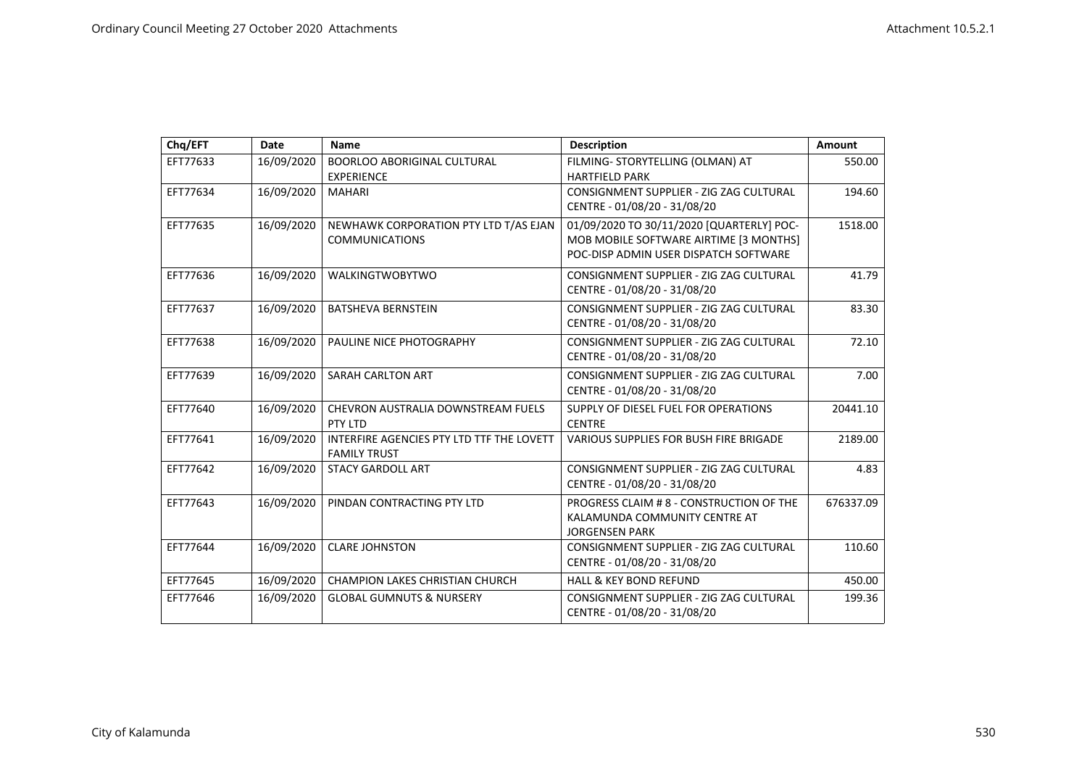| Chq/EFT  | <b>Date</b> | Name                                                             | <b>Description</b>                                                                                                           | Amount    |
|----------|-------------|------------------------------------------------------------------|------------------------------------------------------------------------------------------------------------------------------|-----------|
| EFT77633 | 16/09/2020  | BOORLOO ABORIGINAL CULTURAL<br><b>EXPERIENCE</b>                 | FILMING- STORYTELLING (OLMAN) AT<br><b>HARTFIELD PARK</b>                                                                    | 550.00    |
| EFT77634 | 16/09/2020  | <b>MAHARI</b>                                                    | CONSIGNMENT SUPPLIER - ZIG ZAG CULTURAL<br>CENTRE - 01/08/20 - 31/08/20                                                      | 194.60    |
| EFT77635 | 16/09/2020  | NEWHAWK CORPORATION PTY LTD T/AS EJAN<br><b>COMMUNICATIONS</b>   | 01/09/2020 TO 30/11/2020 [QUARTERLY] POC-<br>MOB MOBILE SOFTWARE AIRTIME [3 MONTHS]<br>POC-DISP ADMIN USER DISPATCH SOFTWARE | 1518.00   |
| EFT77636 | 16/09/2020  | <b>WALKINGTWOBYTWO</b>                                           | CONSIGNMENT SUPPLIER - ZIG ZAG CULTURAL<br>CENTRE - 01/08/20 - 31/08/20                                                      | 41.79     |
| EFT77637 | 16/09/2020  | <b>BATSHEVA BERNSTEIN</b>                                        | CONSIGNMENT SUPPLIER - ZIG ZAG CULTURAL<br>CENTRE - 01/08/20 - 31/08/20                                                      | 83.30     |
| EFT77638 | 16/09/2020  | PAULINE NICE PHOTOGRAPHY                                         | CONSIGNMENT SUPPLIER - ZIG ZAG CULTURAL<br>CENTRE - 01/08/20 - 31/08/20                                                      | 72.10     |
| EFT77639 | 16/09/2020  | SARAH CARLTON ART                                                | CONSIGNMENT SUPPLIER - ZIG ZAG CULTURAL<br>CENTRE - 01/08/20 - 31/08/20                                                      | 7.00      |
| EFT77640 | 16/09/2020  | CHEVRON AUSTRALIA DOWNSTREAM FUELS<br>PTY LTD                    | SUPPLY OF DIESEL FUEL FOR OPERATIONS<br><b>CENTRE</b>                                                                        | 20441.10  |
| EFT77641 | 16/09/2020  | INTERFIRE AGENCIES PTY LTD TTF THE LOVETT<br><b>FAMILY TRUST</b> | <b>VARIOUS SUPPLIES FOR BUSH FIRE BRIGADE</b>                                                                                | 2189.00   |
| EFT77642 | 16/09/2020  | <b>STACY GARDOLL ART</b>                                         | CONSIGNMENT SUPPLIER - ZIG ZAG CULTURAL<br>CENTRE - 01/08/20 - 31/08/20                                                      | 4.83      |
| EFT77643 | 16/09/2020  | PINDAN CONTRACTING PTY LTD                                       | PROGRESS CLAIM # 8 - CONSTRUCTION OF THE<br>KALAMUNDA COMMUNITY CENTRE AT<br><b>JORGENSEN PARK</b>                           | 676337.09 |
| EFT77644 | 16/09/2020  | <b>CLARE JOHNSTON</b>                                            | CONSIGNMENT SUPPLIER - ZIG ZAG CULTURAL<br>CENTRE - 01/08/20 - 31/08/20                                                      | 110.60    |
| EFT77645 | 16/09/2020  | <b>CHAMPION LAKES CHRISTIAN CHURCH</b>                           | <b>HALL &amp; KEY BOND REFUND</b>                                                                                            | 450.00    |
| EFT77646 | 16/09/2020  | <b>GLOBAL GUMNUTS &amp; NURSERY</b>                              | CONSIGNMENT SUPPLIER - ZIG ZAG CULTURAL<br>CENTRE - 01/08/20 - 31/08/20                                                      | 199.36    |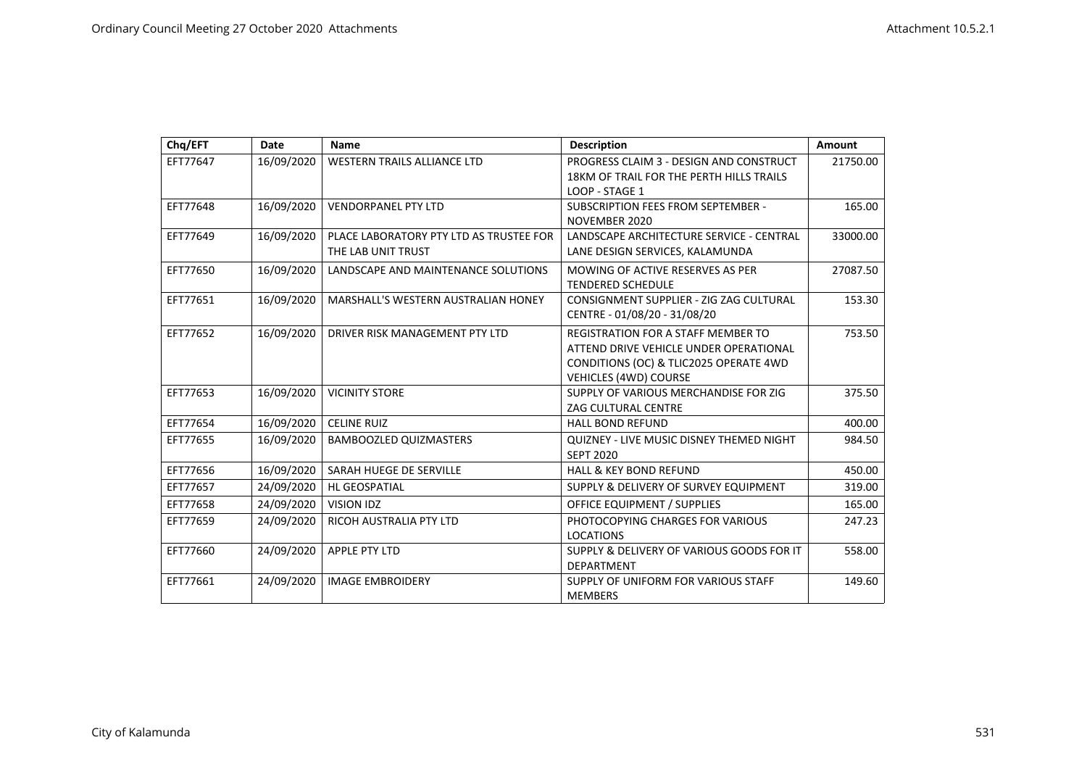| Chq/EFT  | Date       | <b>Name</b>                                                   | <b>Description</b>                                                                                                                                     | <b>Amount</b> |
|----------|------------|---------------------------------------------------------------|--------------------------------------------------------------------------------------------------------------------------------------------------------|---------------|
| EFT77647 | 16/09/2020 | <b>WESTERN TRAILS ALLIANCE LTD</b>                            | PROGRESS CLAIM 3 - DESIGN AND CONSTRUCT<br>18KM OF TRAIL FOR THE PERTH HILLS TRAILS<br>LOOP - STAGE 1                                                  | 21750.00      |
| EFT77648 | 16/09/2020 | <b>VENDORPANEL PTY LTD</b>                                    | SUBSCRIPTION FEES FROM SEPTEMBER -<br>NOVEMBER 2020                                                                                                    | 165.00        |
| EFT77649 | 16/09/2020 | PLACE LABORATORY PTY LTD AS TRUSTEE FOR<br>THE LAB UNIT TRUST | LANDSCAPE ARCHITECTURE SERVICE - CENTRAL<br>LANE DESIGN SERVICES, KALAMUNDA                                                                            | 33000.00      |
| EFT77650 | 16/09/2020 | LANDSCAPE AND MAINTENANCE SOLUTIONS                           | MOWING OF ACTIVE RESERVES AS PER<br><b>TENDERED SCHEDULE</b>                                                                                           | 27087.50      |
| EFT77651 | 16/09/2020 | MARSHALL'S WESTERN AUSTRALIAN HONEY                           | CONSIGNMENT SUPPLIER - ZIG ZAG CULTURAL<br>CENTRE - 01/08/20 - 31/08/20                                                                                | 153.30        |
| EFT77652 | 16/09/2020 | DRIVER RISK MANAGEMENT PTY LTD                                | <b>REGISTRATION FOR A STAFF MEMBER TO</b><br>ATTEND DRIVE VEHICLE UNDER OPERATIONAL<br>CONDITIONS (OC) & TLIC2025 OPERATE 4WD<br>VEHICLES (4WD) COURSE | 753.50        |
| EFT77653 | 16/09/2020 | <b>VICINITY STORE</b>                                         | SUPPLY OF VARIOUS MERCHANDISE FOR ZIG<br><b>ZAG CULTURAL CENTRE</b>                                                                                    | 375.50        |
| EFT77654 | 16/09/2020 | <b>CELINE RUIZ</b>                                            | <b>HALL BOND REFUND</b>                                                                                                                                | 400.00        |
| EFT77655 | 16/09/2020 | BAMBOOZLED QUIZMASTERS                                        | QUIZNEY - LIVE MUSIC DISNEY THEMED NIGHT<br><b>SEPT 2020</b>                                                                                           | 984.50        |
| EFT77656 | 16/09/2020 | SARAH HUEGE DE SERVILLE                                       | <b>HALL &amp; KEY BOND REFUND</b>                                                                                                                      | 450.00        |
| EFT77657 | 24/09/2020 | <b>HL GEOSPATIAL</b>                                          | SUPPLY & DELIVERY OF SURVEY EQUIPMENT                                                                                                                  | 319.00        |
| EFT77658 | 24/09/2020 | VISION IDZ                                                    | <b>OFFICE EQUIPMENT / SUPPLIES</b>                                                                                                                     | 165.00        |
| EFT77659 | 24/09/2020 | RICOH AUSTRALIA PTY LTD                                       | PHOTOCOPYING CHARGES FOR VARIOUS<br><b>LOCATIONS</b>                                                                                                   | 247.23        |
| EFT77660 | 24/09/2020 | <b>APPLE PTY LTD</b>                                          | SUPPLY & DELIVERY OF VARIOUS GOODS FOR IT<br><b>DEPARTMENT</b>                                                                                         | 558.00        |
| EFT77661 | 24/09/2020 | <b>IMAGE EMBROIDERY</b>                                       | SUPPLY OF UNIFORM FOR VARIOUS STAFF<br><b>MEMBERS</b>                                                                                                  | 149.60        |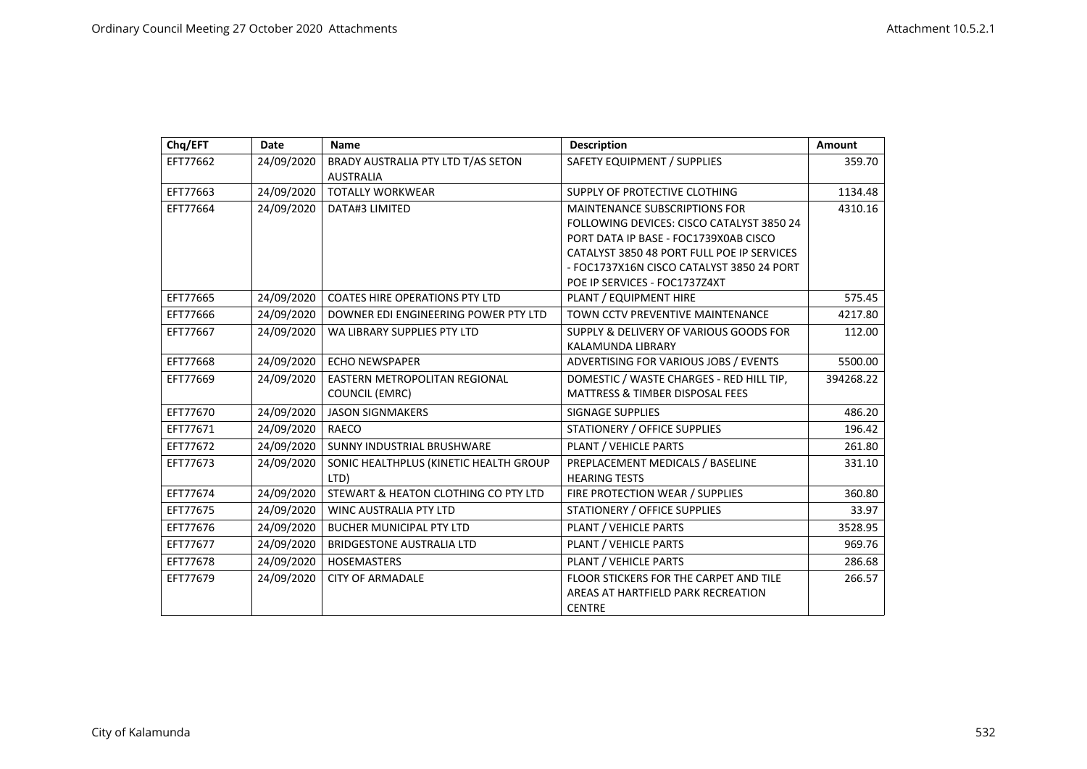| Chq/EFT  | <b>Date</b> | Name                                   | <b>Description</b>                         | Amount    |
|----------|-------------|----------------------------------------|--------------------------------------------|-----------|
| EFT77662 | 24/09/2020  | BRADY AUSTRALIA PTY LTD T/AS SETON     | SAFETY EQUIPMENT / SUPPLIES                | 359.70    |
|          |             | <b>AUSTRALIA</b>                       |                                            |           |
| EFT77663 | 24/09/2020  | <b>TOTALLY WORKWEAR</b>                | SUPPLY OF PROTECTIVE CLOTHING              | 1134.48   |
| EFT77664 | 24/09/2020  | DATA#3 LIMITED                         | <b>MAINTENANCE SUBSCRIPTIONS FOR</b>       | 4310.16   |
|          |             |                                        | FOLLOWING DEVICES: CISCO CATALYST 3850 24  |           |
|          |             |                                        | PORT DATA IP BASE - FOC1739X0AB CISCO      |           |
|          |             |                                        | CATALYST 3850 48 PORT FULL POE IP SERVICES |           |
|          |             |                                        | - FOC1737X16N CISCO CATALYST 3850 24 PORT  |           |
|          |             |                                        | POE IP SERVICES - FOC1737Z4XT              |           |
| EFT77665 | 24/09/2020  | <b>COATES HIRE OPERATIONS PTY LTD</b>  | PLANT / EQUIPMENT HIRE                     | 575.45    |
| EFT77666 | 24/09/2020  | DOWNER EDI ENGINEERING POWER PTY LTD   | TOWN CCTV PREVENTIVE MAINTENANCE           | 4217.80   |
| EFT77667 | 24/09/2020  | WA LIBRARY SUPPLIES PTY LTD            | SUPPLY & DELIVERY OF VARIOUS GOODS FOR     | 112.00    |
|          |             |                                        | KALAMUNDA LIBRARY                          |           |
| EFT77668 | 24/09/2020  | <b>ECHO NEWSPAPER</b>                  | ADVERTISING FOR VARIOUS JOBS / EVENTS      | 5500.00   |
| EFT77669 | 24/09/2020  | <b>EASTERN METROPOLITAN REGIONAL</b>   | DOMESTIC / WASTE CHARGES - RED HILL TIP,   | 394268.22 |
|          |             | <b>COUNCIL (EMRC)</b>                  | <b>MATTRESS &amp; TIMBER DISPOSAL FEES</b> |           |
| EFT77670 | 24/09/2020  | <b>JASON SIGNMAKERS</b>                | SIGNAGE SUPPLIES                           | 486.20    |
| EFT77671 | 24/09/2020  | RAECO                                  | <b>STATIONERY / OFFICE SUPPLIES</b>        | 196.42    |
| EFT77672 | 24/09/2020  | SUNNY INDUSTRIAL BRUSHWARE             | PLANT / VEHICLE PARTS                      | 261.80    |
| EFT77673 | 24/09/2020  | SONIC HEALTHPLUS (KINETIC HEALTH GROUP | PREPLACEMENT MEDICALS / BASELINE           | 331.10    |
|          |             | LTD)                                   | <b>HEARING TESTS</b>                       |           |
| EFT77674 | 24/09/2020  | STEWART & HEATON CLOTHING CO PTY LTD   | FIRE PROTECTION WEAR / SUPPLIES            | 360.80    |
| EFT77675 | 24/09/2020  | WINC AUSTRALIA PTY LTD                 | STATIONERY / OFFICE SUPPLIES               | 33.97     |
| EFT77676 | 24/09/2020  | <b>BUCHER MUNICIPAL PTY LTD</b>        | PLANT / VEHICLE PARTS                      | 3528.95   |
| EFT77677 | 24/09/2020  | BRIDGESTONE AUSTRALIA LTD              | PLANT / VEHICLE PARTS                      | 969.76    |
| EFT77678 | 24/09/2020  | <b>HOSEMASTERS</b>                     | PLANT / VEHICLE PARTS                      | 286.68    |
| EFT77679 | 24/09/2020  | <b>CITY OF ARMADALE</b>                | FLOOR STICKERS FOR THE CARPET AND TILE     | 266.57    |
|          |             |                                        | AREAS AT HARTFIELD PARK RECREATION         |           |
|          |             |                                        | <b>CENTRE</b>                              |           |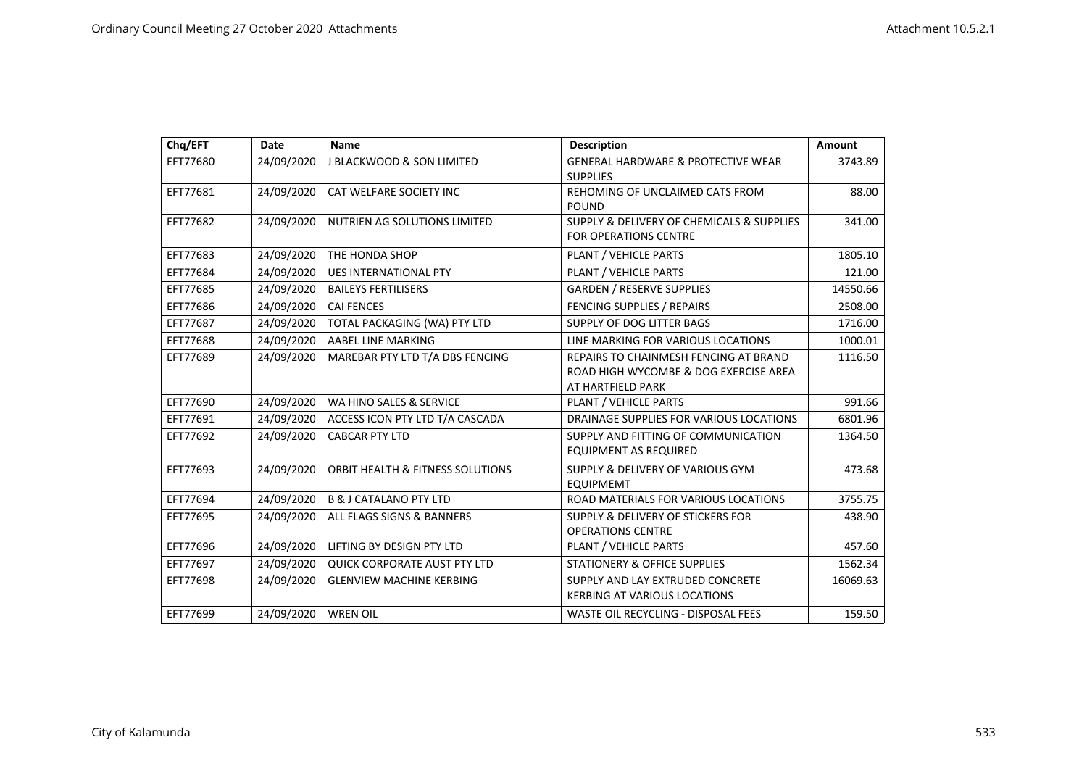| Chq/EFT  | Date       | <b>Name</b>                          | <b>Description</b>                                                                                  | Amount   |
|----------|------------|--------------------------------------|-----------------------------------------------------------------------------------------------------|----------|
| EFT77680 | 24/09/2020 | <b>J BLACKWOOD &amp; SON LIMITED</b> | GENERAL HARDWARE & PROTECTIVE WEAR<br><b>SUPPLIES</b>                                               | 3743.89  |
| EFT77681 | 24/09/2020 | CAT WELFARE SOCIETY INC              | REHOMING OF UNCLAIMED CATS FROM<br><b>POUND</b>                                                     | 88.00    |
| EFT77682 | 24/09/2020 | NUTRIEN AG SOLUTIONS LIMITED         | SUPPLY & DELIVERY OF CHEMICALS & SUPPLIES<br><b>FOR OPERATIONS CENTRE</b>                           | 341.00   |
| EFT77683 | 24/09/2020 | THE HONDA SHOP                       | PLANT / VEHICLE PARTS                                                                               | 1805.10  |
| EFT77684 | 24/09/2020 | <b>UES INTERNATIONAL PTY</b>         | PLANT / VEHICLE PARTS                                                                               | 121.00   |
| EFT77685 | 24/09/2020 | <b>BAILEYS FERTILISERS</b>           | <b>GARDEN / RESERVE SUPPLIES</b>                                                                    | 14550.66 |
| EFT77686 | 24/09/2020 | <b>CAI FENCES</b>                    | FENCING SUPPLIES / REPAIRS                                                                          | 2508.00  |
| EFT77687 | 24/09/2020 | TOTAL PACKAGING (WA) PTY LTD         | SUPPLY OF DOG LITTER BAGS                                                                           | 1716.00  |
| EFT77688 | 24/09/2020 | AABEL LINE MARKING                   | LINE MARKING FOR VARIOUS LOCATIONS                                                                  | 1000.01  |
| EFT77689 | 24/09/2020 | MAREBAR PTY LTD T/A DBS FENCING      | REPAIRS TO CHAINMESH FENCING AT BRAND<br>ROAD HIGH WYCOMBE & DOG EXERCISE AREA<br>AT HARTFIELD PARK | 1116.50  |
| EFT77690 | 24/09/2020 | WA HINO SALES & SERVICE              | PLANT / VEHICLE PARTS                                                                               | 991.66   |
| EFT77691 | 24/09/2020 | ACCESS ICON PTY LTD T/A CASCADA      | DRAINAGE SUPPLIES FOR VARIOUS LOCATIONS                                                             | 6801.96  |
| EFT77692 | 24/09/2020 | <b>CABCAR PTY LTD</b>                | SUPPLY AND FITTING OF COMMUNICATION<br><b>EQUIPMENT AS REQUIRED</b>                                 | 1364.50  |
| EFT77693 | 24/09/2020 | ORBIT HEALTH & FITNESS SOLUTIONS     | SUPPLY & DELIVERY OF VARIOUS GYM<br><b>EQUIPMEMT</b>                                                | 473.68   |
| EFT77694 | 24/09/2020 | <b>B &amp; J CATALANO PTY LTD</b>    | ROAD MATERIALS FOR VARIOUS LOCATIONS                                                                | 3755.75  |
| EFT77695 | 24/09/2020 | ALL FLAGS SIGNS & BANNERS            | SUPPLY & DELIVERY OF STICKERS FOR<br><b>OPERATIONS CENTRE</b>                                       | 438.90   |
| EFT77696 | 24/09/2020 | LIFTING BY DESIGN PTY LTD            | PLANT / VEHICLE PARTS                                                                               | 457.60   |
| EFT77697 | 24/09/2020 | <b>QUICK CORPORATE AUST PTY LTD</b>  | <b>STATIONERY &amp; OFFICE SUPPLIES</b>                                                             | 1562.34  |
| EFT77698 | 24/09/2020 | <b>GLENVIEW MACHINE KERBING</b>      | SUPPLY AND LAY EXTRUDED CONCRETE<br><b>KERBING AT VARIOUS LOCATIONS</b>                             | 16069.63 |
| EFT77699 | 24/09/2020 | <b>WREN OIL</b>                      | WASTE OIL RECYCLING - DISPOSAL FEES                                                                 | 159.50   |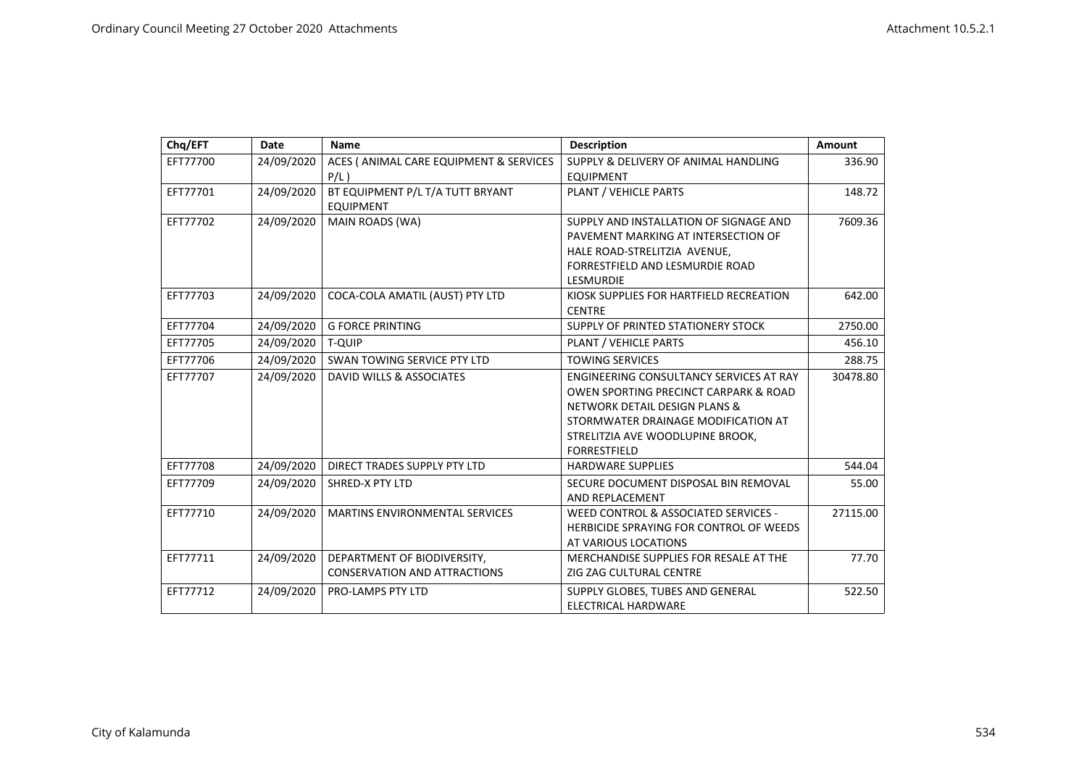| Chq/EFT  | <b>Date</b> | <b>Name</b>                             | <b>Description</b>                      | Amount   |
|----------|-------------|-----------------------------------------|-----------------------------------------|----------|
| EFT77700 | 24/09/2020  | ACES ( ANIMAL CARE EQUIPMENT & SERVICES | SUPPLY & DELIVERY OF ANIMAL HANDLING    | 336.90   |
|          |             | $P/L$ )                                 | <b>EQUIPMENT</b>                        |          |
| EFT77701 | 24/09/2020  | BT EQUIPMENT P/L T/A TUTT BRYANT        | PLANT / VEHICLE PARTS                   | 148.72   |
|          |             | <b>EQUIPMENT</b>                        |                                         |          |
| EFT77702 | 24/09/2020  | MAIN ROADS (WA)                         | SUPPLY AND INSTALLATION OF SIGNAGE AND  | 7609.36  |
|          |             |                                         | PAVEMENT MARKING AT INTERSECTION OF     |          |
|          |             |                                         | HALE ROAD-STRELITZIA AVENUE,            |          |
|          |             |                                         | FORRESTFIELD AND LESMURDIE ROAD         |          |
|          |             |                                         | <b>LESMURDIE</b>                        |          |
| EFT77703 | 24/09/2020  | COCA-COLA AMATIL (AUST) PTY LTD         | KIOSK SUPPLIES FOR HARTFIELD RECREATION | 642.00   |
|          |             |                                         | <b>CENTRE</b>                           |          |
| EFT77704 | 24/09/2020  | <b>G FORCE PRINTING</b>                 | SUPPLY OF PRINTED STATIONERY STOCK      | 2750.00  |
| EFT77705 | 24/09/2020  | <b>T-QUIP</b>                           | <b>PLANT / VEHICLE PARTS</b>            | 456.10   |
| EFT77706 | 24/09/2020  | SWAN TOWING SERVICE PTY LTD             | <b>TOWING SERVICES</b>                  | 288.75   |
| EFT77707 | 24/09/2020  | DAVID WILLS & ASSOCIATES                | ENGINEERING CONSULTANCY SERVICES AT RAY | 30478.80 |
|          |             |                                         | OWEN SPORTING PRECINCT CARPARK & ROAD   |          |
|          |             |                                         | NETWORK DETAIL DESIGN PLANS &           |          |
|          |             |                                         | STORMWATER DRAINAGE MODIFICATION AT     |          |
|          |             |                                         | STRELITZIA AVE WOODLUPINE BROOK,        |          |
|          |             |                                         | <b>FORRESTFIELD</b>                     |          |
| EFT77708 | 24/09/2020  | DIRECT TRADES SUPPLY PTY LTD            | <b>HARDWARE SUPPLIES</b>                | 544.04   |
| EFT77709 | 24/09/2020  | <b>SHRED-X PTY LTD</b>                  | SECURE DOCUMENT DISPOSAL BIN REMOVAL    | 55.00    |
|          |             |                                         | AND REPLACEMENT                         |          |
| EFT77710 | 24/09/2020  | <b>MARTINS ENVIRONMENTAL SERVICES</b>   | WEED CONTROL & ASSOCIATED SERVICES -    | 27115.00 |
|          |             |                                         | HERBICIDE SPRAYING FOR CONTROL OF WEEDS |          |
|          |             |                                         | AT VARIOUS LOCATIONS                    |          |
| EFT77711 | 24/09/2020  | DEPARTMENT OF BIODIVERSITY,             | MERCHANDISE SUPPLIES FOR RESALE AT THE  | 77.70    |
|          |             | <b>CONSERVATION AND ATTRACTIONS</b>     | ZIG ZAG CULTURAL CENTRE                 |          |
| EFT77712 | 24/09/2020  | PRO-LAMPS PTY LTD                       | SUPPLY GLOBES, TUBES AND GENERAL        | 522.50   |
|          |             |                                         | ELECTRICAL HARDWARE                     |          |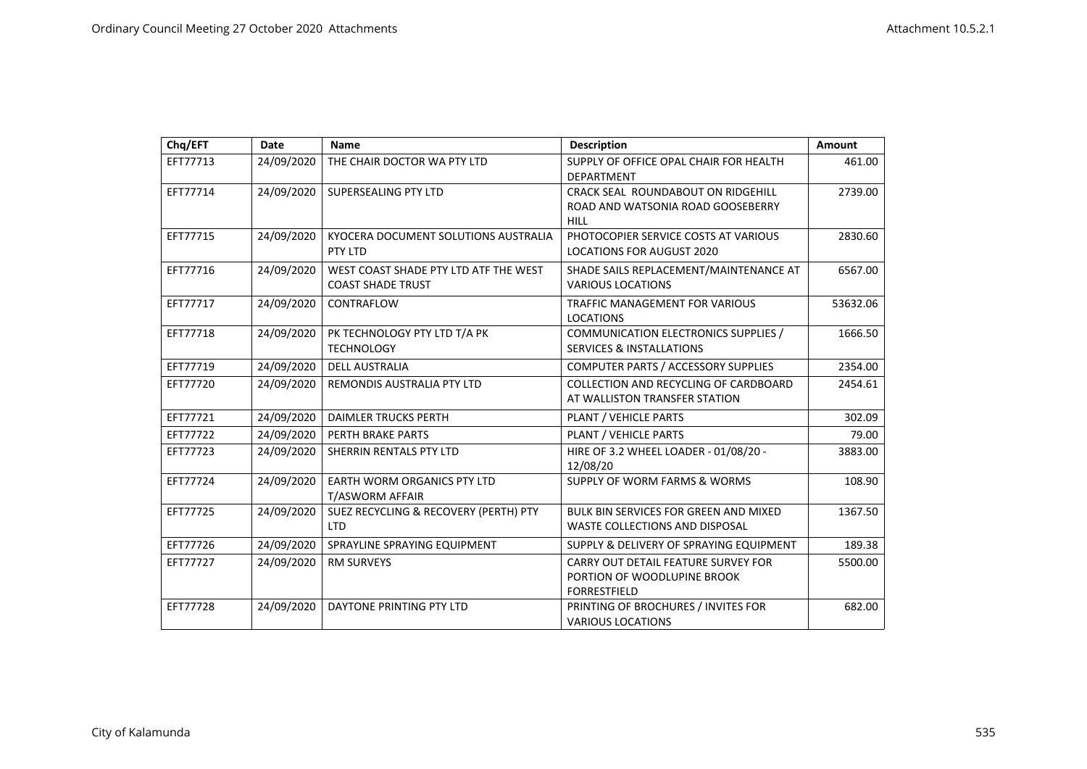| Chq/EFT  | Date       | <b>Name</b>                                                       | <b>Description</b>                                                                        | <b>Amount</b> |
|----------|------------|-------------------------------------------------------------------|-------------------------------------------------------------------------------------------|---------------|
| EFT77713 | 24/09/2020 | THE CHAIR DOCTOR WA PTY LTD                                       | SUPPLY OF OFFICE OPAL CHAIR FOR HEALTH<br><b>DEPARTMENT</b>                               | 461.00        |
| EFT77714 | 24/09/2020 | SUPERSEALING PTY LTD                                              | CRACK SEAL ROUNDABOUT ON RIDGEHILL<br>ROAD AND WATSONIA ROAD GOOSEBERRY<br><b>HILL</b>    | 2739.00       |
| EFT77715 | 24/09/2020 | KYOCERA DOCUMENT SOLUTIONS AUSTRALIA<br>PTY LTD                   | PHOTOCOPIER SERVICE COSTS AT VARIOUS<br><b>LOCATIONS FOR AUGUST 2020</b>                  | 2830.60       |
| EFT77716 | 24/09/2020 | WEST COAST SHADE PTY LTD ATF THE WEST<br><b>COAST SHADE TRUST</b> | SHADE SAILS REPLACEMENT/MAINTENANCE AT<br><b>VARIOUS LOCATIONS</b>                        | 6567.00       |
| EFT77717 | 24/09/2020 | CONTRAFLOW                                                        | TRAFFIC MANAGEMENT FOR VARIOUS<br><b>LOCATIONS</b>                                        | 53632.06      |
| EFT77718 | 24/09/2020 | PK TECHNOLOGY PTY LTD T/A PK<br><b>TECHNOLOGY</b>                 | COMMUNICATION ELECTRONICS SUPPLIES /<br><b>SERVICES &amp; INSTALLATIONS</b>               | 1666.50       |
| EFT77719 | 24/09/2020 | <b>DELL AUSTRALIA</b>                                             | COMPUTER PARTS / ACCESSORY SUPPLIES                                                       | 2354.00       |
| EFT77720 | 24/09/2020 | REMONDIS AUSTRALIA PTY LTD                                        | COLLECTION AND RECYCLING OF CARDBOARD<br>AT WALLISTON TRANSFER STATION                    | 2454.61       |
| EFT77721 | 24/09/2020 | <b>DAIMLER TRUCKS PERTH</b>                                       | PLANT / VEHICLE PARTS                                                                     | 302.09        |
| EFT77722 | 24/09/2020 | PERTH BRAKE PARTS                                                 | PLANT / VEHICLE PARTS                                                                     | 79.00         |
| EFT77723 | 24/09/2020 | SHERRIN RENTALS PTY LTD                                           | HIRE OF 3.2 WHEEL LOADER - 01/08/20 -<br>12/08/20                                         | 3883.00       |
| EFT77724 | 24/09/2020 | EARTH WORM ORGANICS PTY LTD<br>T/ASWORM AFFAIR                    | SUPPLY OF WORM FARMS & WORMS                                                              | 108.90        |
| EFT77725 | 24/09/2020 | SUEZ RECYCLING & RECOVERY (PERTH) PTY<br><b>LTD</b>               | <b>BULK BIN SERVICES FOR GREEN AND MIXED</b><br>WASTE COLLECTIONS AND DISPOSAL            | 1367.50       |
| EFT77726 | 24/09/2020 | SPRAYLINE SPRAYING EQUIPMENT                                      | SUPPLY & DELIVERY OF SPRAYING EQUIPMENT                                                   | 189.38        |
| EFT77727 | 24/09/2020 | <b>RM SURVEYS</b>                                                 | CARRY OUT DETAIL FEATURE SURVEY FOR<br>PORTION OF WOODLUPINE BROOK<br><b>FORRESTFIELD</b> | 5500.00       |
| EFT77728 | 24/09/2020 | DAYTONE PRINTING PTY LTD                                          | PRINTING OF BROCHURES / INVITES FOR<br><b>VARIOUS LOCATIONS</b>                           | 682.00        |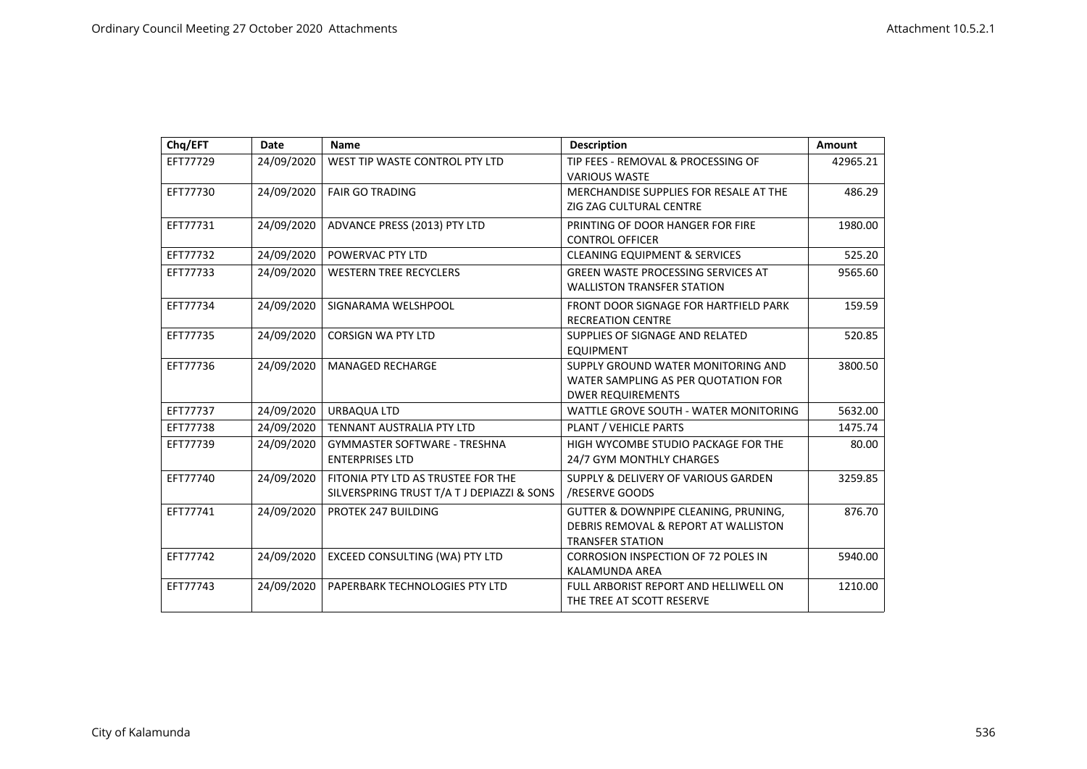| Chq/EFT  | Date       | <b>Name</b>                                | <b>Description</b>                         | Amount   |
|----------|------------|--------------------------------------------|--------------------------------------------|----------|
| EFT77729 | 24/09/2020 | WEST TIP WASTE CONTROL PTY LTD             | TIP FEES - REMOVAL & PROCESSING OF         | 42965.21 |
|          |            |                                            | <b>VARIOUS WASTE</b>                       |          |
| EFT77730 | 24/09/2020 | <b>FAIR GO TRADING</b>                     | MERCHANDISE SUPPLIES FOR RESALE AT THE     | 486.29   |
|          |            |                                            | ZIG ZAG CULTURAL CENTRE                    |          |
| EFT77731 | 24/09/2020 | ADVANCE PRESS (2013) PTY LTD               | PRINTING OF DOOR HANGER FOR FIRE           | 1980.00  |
|          |            |                                            | <b>CONTROL OFFICER</b>                     |          |
| EFT77732 | 24/09/2020 | POWERVAC PTY LTD                           | <b>CLEANING EQUIPMENT &amp; SERVICES</b>   | 525.20   |
| EFT77733 | 24/09/2020 | <b>WESTERN TREE RECYCLERS</b>              | <b>GREEN WASTE PROCESSING SERVICES AT</b>  | 9565.60  |
|          |            |                                            | <b>WALLISTON TRANSFER STATION</b>          |          |
| EFT77734 | 24/09/2020 | SIGNARAMA WELSHPOOL                        | FRONT DOOR SIGNAGE FOR HARTFIELD PARK      | 159.59   |
|          |            |                                            | <b>RECREATION CENTRE</b>                   |          |
| EFT77735 | 24/09/2020 | <b>CORSIGN WA PTY LTD</b>                  | SUPPLIES OF SIGNAGE AND RELATED            | 520.85   |
|          |            |                                            | <b>EQUIPMENT</b>                           |          |
| EFT77736 | 24/09/2020 | <b>MANAGED RECHARGE</b>                    | SUPPLY GROUND WATER MONITORING AND         | 3800.50  |
|          |            |                                            | WATER SAMPLING AS PER QUOTATION FOR        |          |
|          |            |                                            | <b>DWER REQUIREMENTS</b>                   |          |
| EFT77737 | 24/09/2020 | URBAQUA LTD                                | WATTLE GROVE SOUTH - WATER MONITORING      | 5632.00  |
| EFT77738 | 24/09/2020 | TENNANT AUSTRALIA PTY LTD                  | PLANT / VEHICLE PARTS                      | 1475.74  |
| EFT77739 | 24/09/2020 | <b>GYMMASTER SOFTWARE - TRESHNA</b>        | HIGH WYCOMBE STUDIO PACKAGE FOR THE        | 80.00    |
|          |            | <b>ENTERPRISES LTD</b>                     | 24/7 GYM MONTHLY CHARGES                   |          |
| EFT77740 | 24/09/2020 | FITONIA PTY LTD AS TRUSTEE FOR THE         | SUPPLY & DELIVERY OF VARIOUS GARDEN        | 3259.85  |
|          |            | SILVERSPRING TRUST T/A T J DEPIAZZI & SONS | /RESERVE GOODS                             |          |
| EFT77741 | 24/09/2020 | PROTEK 247 BUILDING                        | GUTTER & DOWNPIPE CLEANING, PRUNING,       | 876.70   |
|          |            |                                            | DEBRIS REMOVAL & REPORT AT WALLISTON       |          |
|          |            |                                            | <b>TRANSFER STATION</b>                    |          |
| EFT77742 | 24/09/2020 | EXCEED CONSULTING (WA) PTY LTD             | <b>CORROSION INSPECTION OF 72 POLES IN</b> | 5940.00  |
|          |            |                                            | <b>KALAMUNDA AREA</b>                      |          |
| EFT77743 | 24/09/2020 | PAPERBARK TECHNOLOGIES PTY LTD             | FULL ARBORIST REPORT AND HELLIWELL ON      | 1210.00  |
|          |            |                                            | THE TREE AT SCOTT RESERVE                  |          |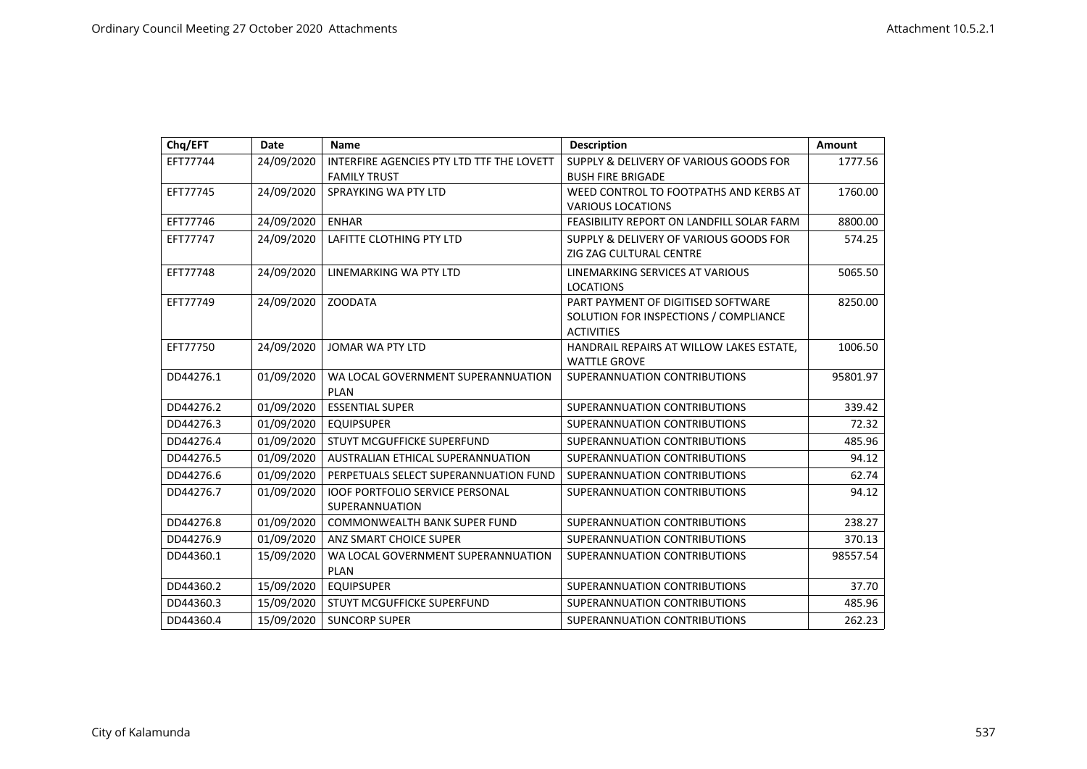| Chq/EFT   | Date       | <b>Name</b>                               | <b>Description</b>                        | Amount   |
|-----------|------------|-------------------------------------------|-------------------------------------------|----------|
| EFT77744  | 24/09/2020 | INTERFIRE AGENCIES PTY LTD TTF THE LOVETT | SUPPLY & DELIVERY OF VARIOUS GOODS FOR    | 1777.56  |
|           |            | <b>FAMILY TRUST</b>                       | <b>BUSH FIRE BRIGADE</b>                  |          |
| EFT77745  | 24/09/2020 | SPRAYKING WA PTY LTD                      | WEED CONTROL TO FOOTPATHS AND KERBS AT    | 1760.00  |
|           |            |                                           | <b>VARIOUS LOCATIONS</b>                  |          |
| EFT77746  | 24/09/2020 | <b>ENHAR</b>                              | FEASIBILITY REPORT ON LANDFILL SOLAR FARM | 8800.00  |
| EFT77747  | 24/09/2020 | LAFITTE CLOTHING PTY LTD                  | SUPPLY & DELIVERY OF VARIOUS GOODS FOR    | 574.25   |
|           |            |                                           | ZIG ZAG CULTURAL CENTRE                   |          |
| EFT77748  | 24/09/2020 | LINEMARKING WA PTY LTD                    | LINEMARKING SERVICES AT VARIOUS           | 5065.50  |
|           |            |                                           | <b>LOCATIONS</b>                          |          |
| EFT77749  | 24/09/2020 | <b>ZOODATA</b>                            | PART PAYMENT OF DIGITISED SOFTWARE        | 8250.00  |
|           |            |                                           | SOLUTION FOR INSPECTIONS / COMPLIANCE     |          |
|           |            |                                           | <b>ACTIVITIES</b>                         |          |
| EFT77750  | 24/09/2020 | JOMAR WA PTY LTD                          | HANDRAIL REPAIRS AT WILLOW LAKES ESTATE,  | 1006.50  |
|           |            |                                           | <b>WATTLE GROVE</b>                       |          |
| DD44276.1 | 01/09/2020 | WA LOCAL GOVERNMENT SUPERANNUATION        | SUPERANNUATION CONTRIBUTIONS              | 95801.97 |
|           |            | <b>PLAN</b>                               |                                           |          |
| DD44276.2 | 01/09/2020 | <b>ESSENTIAL SUPER</b>                    | SUPERANNUATION CONTRIBUTIONS              | 339.42   |
| DD44276.3 | 01/09/2020 | <b>EQUIPSUPER</b>                         | SUPERANNUATION CONTRIBUTIONS              | 72.32    |
| DD44276.4 | 01/09/2020 | STUYT MCGUFFICKE SUPERFUND                | SUPERANNUATION CONTRIBUTIONS              | 485.96   |
| DD44276.5 | 01/09/2020 | AUSTRALIAN ETHICAL SUPERANNUATION         | SUPERANNUATION CONTRIBUTIONS              | 94.12    |
| DD44276.6 | 01/09/2020 | PERPETUALS SELECT SUPERANNUATION FUND     | SUPERANNUATION CONTRIBUTIONS              | 62.74    |
| DD44276.7 | 01/09/2020 | <b>IOOF PORTFOLIO SERVICE PERSONAL</b>    | SUPERANNUATION CONTRIBUTIONS              | 94.12    |
|           |            | SUPERANNUATION                            |                                           |          |
| DD44276.8 | 01/09/2020 | <b>COMMONWEALTH BANK SUPER FUND</b>       | SUPERANNUATION CONTRIBUTIONS              | 238.27   |
| DD44276.9 | 01/09/2020 | ANZ SMART CHOICE SUPER                    | SUPERANNUATION CONTRIBUTIONS              | 370.13   |
| DD44360.1 | 15/09/2020 | WA LOCAL GOVERNMENT SUPERANNUATION        | SUPERANNUATION CONTRIBUTIONS              | 98557.54 |
|           |            | <b>PLAN</b>                               |                                           |          |
| DD44360.2 | 15/09/2020 | <b>EQUIPSUPER</b>                         | SUPERANNUATION CONTRIBUTIONS              | 37.70    |
| DD44360.3 | 15/09/2020 | STUYT MCGUFFICKE SUPERFUND                | SUPERANNUATION CONTRIBUTIONS              | 485.96   |
| DD44360.4 | 15/09/2020 | <b>SUNCORP SUPER</b>                      | SUPERANNUATION CONTRIBUTIONS              | 262.23   |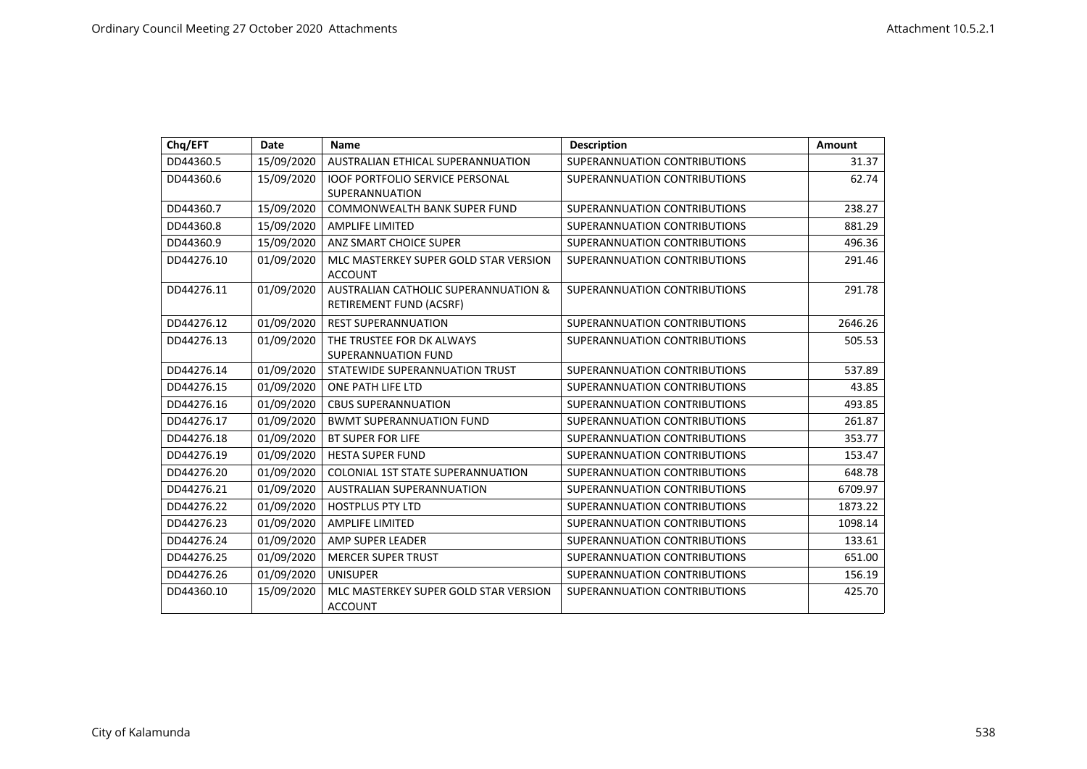| Chq/EFT    | Date       | <b>Name</b>                                                                | <b>Description</b>           | Amount  |
|------------|------------|----------------------------------------------------------------------------|------------------------------|---------|
| DD44360.5  | 15/09/2020 | AUSTRALIAN ETHICAL SUPERANNUATION                                          | SUPERANNUATION CONTRIBUTIONS | 31.37   |
| DD44360.6  | 15/09/2020 | <b>IOOF PORTFOLIO SERVICE PERSONAL</b>                                     | SUPERANNUATION CONTRIBUTIONS | 62.74   |
|            |            | <b>SUPERANNUATION</b>                                                      |                              |         |
| DD44360.7  | 15/09/2020 | <b>COMMONWEALTH BANK SUPER FUND</b>                                        | SUPERANNUATION CONTRIBUTIONS | 238.27  |
| DD44360.8  | 15/09/2020 | <b>AMPLIFE LIMITED</b>                                                     | SUPERANNUATION CONTRIBUTIONS | 881.29  |
| DD44360.9  | 15/09/2020 | ANZ SMART CHOICE SUPER                                                     | SUPERANNUATION CONTRIBUTIONS | 496.36  |
| DD44276.10 | 01/09/2020 | MLC MASTERKEY SUPER GOLD STAR VERSION<br><b>ACCOUNT</b>                    | SUPERANNUATION CONTRIBUTIONS | 291.46  |
| DD44276.11 | 01/09/2020 | <b>AUSTRALIAN CATHOLIC SUPERANNUATION &amp;</b><br>RETIREMENT FUND (ACSRF) | SUPERANNUATION CONTRIBUTIONS | 291.78  |
| DD44276.12 | 01/09/2020 | <b>REST SUPERANNUATION</b>                                                 | SUPERANNUATION CONTRIBUTIONS | 2646.26 |
| DD44276.13 | 01/09/2020 | THE TRUSTEE FOR DK ALWAYS                                                  | SUPERANNUATION CONTRIBUTIONS | 505.53  |
|            |            | <b>SUPERANNUATION FUND</b>                                                 |                              |         |
| DD44276.14 | 01/09/2020 | STATEWIDE SUPERANNUATION TRUST                                             | SUPERANNUATION CONTRIBUTIONS | 537.89  |
| DD44276.15 | 01/09/2020 | ONE PATH LIFE LTD                                                          | SUPERANNUATION CONTRIBUTIONS | 43.85   |
| DD44276.16 | 01/09/2020 | <b>CBUS SUPERANNUATION</b>                                                 | SUPERANNUATION CONTRIBUTIONS | 493.85  |
| DD44276.17 | 01/09/2020 | <b>BWMT SUPERANNUATION FUND</b>                                            | SUPERANNUATION CONTRIBUTIONS | 261.87  |
| DD44276.18 | 01/09/2020 | <b>BT SUPER FOR LIFE</b>                                                   | SUPERANNUATION CONTRIBUTIONS | 353.77  |
| DD44276.19 | 01/09/2020 | <b>HESTA SUPER FUND</b>                                                    | SUPERANNUATION CONTRIBUTIONS | 153.47  |
| DD44276.20 | 01/09/2020 | <b>COLONIAL 1ST STATE SUPERANNUATION</b>                                   | SUPERANNUATION CONTRIBUTIONS | 648.78  |
| DD44276.21 | 01/09/2020 | <b>AUSTRALIAN SUPERANNUATION</b>                                           | SUPERANNUATION CONTRIBUTIONS | 6709.97 |
| DD44276.22 | 01/09/2020 | <b>HOSTPLUS PTY LTD</b>                                                    | SUPERANNUATION CONTRIBUTIONS | 1873.22 |
| DD44276.23 | 01/09/2020 | <b>AMPLIFE LIMITED</b>                                                     | SUPERANNUATION CONTRIBUTIONS | 1098.14 |
| DD44276.24 | 01/09/2020 | AMP SUPER LEADER                                                           | SUPERANNUATION CONTRIBUTIONS | 133.61  |
| DD44276.25 | 01/09/2020 | <b>MERCER SUPER TRUST</b>                                                  | SUPERANNUATION CONTRIBUTIONS | 651.00  |
| DD44276.26 | 01/09/2020 | <b>UNISUPER</b>                                                            | SUPERANNUATION CONTRIBUTIONS | 156.19  |
| DD44360.10 | 15/09/2020 | MLC MASTERKEY SUPER GOLD STAR VERSION<br><b>ACCOUNT</b>                    | SUPERANNUATION CONTRIBUTIONS | 425.70  |